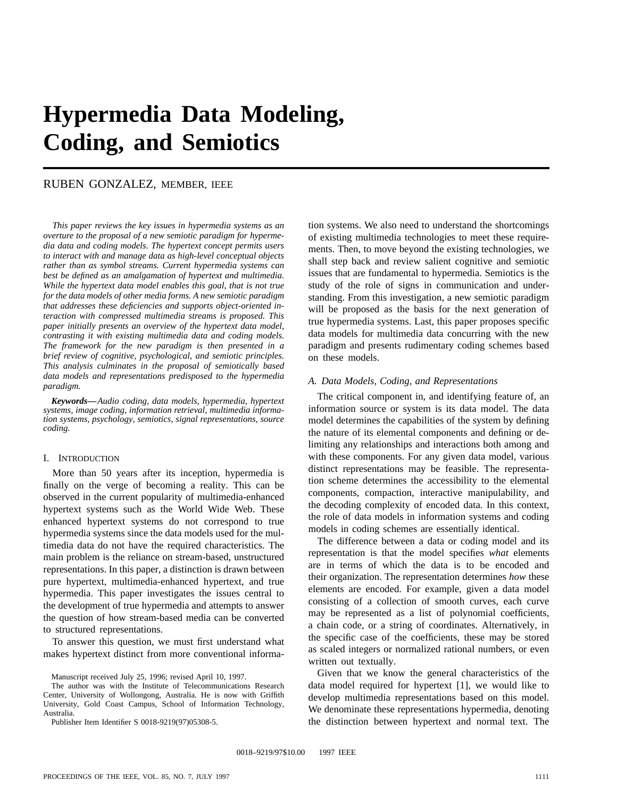# **Hypermedia Data Modeling, Coding, and Semiotics**

# RUBEN GONZALEZ, MEMBER, IEEE

*This paper reviews the key issues in hypermedia systems as an overture to the proposal of a new semiotic paradigm for hypermedia data and coding models. The hypertext concept permits users to interact with and manage data as high-level conceptual objects rather than as symbol streams. Current hypermedia systems can best be defined as an amalgamation of hypertext and multimedia. While the hypertext data model enables this goal, that is not true for the data models of other media forms. A new semiotic paradigm that addresses these deficiencies and supports object-oriented interaction with compressed multimedia streams is proposed. This paper initially presents an overview of the hypertext data model, contrasting it with existing multimedia data and coding models. The framework for the new paradigm is then presented in a brief review of cognitive, psychological, and semiotic principles. This analysis culminates in the proposal of semiotically based data models and representations predisposed to the hypermedia paradigm.*

*Keywords—Audio coding, data models, hypermedia, hypertext systems, image coding, information retrieval, multimedia information systems, psychology, semiotics, signal representations, source coding.*

#### I. INTRODUCTION

More than 50 years after its inception, hypermedia is finally on the verge of becoming a reality. This can be observed in the current popularity of multimedia-enhanced hypertext systems such as the World Wide Web. These enhanced hypertext systems do not correspond to true hypermedia systems since the data models used for the multimedia data do not have the required characteristics. The main problem is the reliance on stream-based, unstructured representations. In this paper, a distinction is drawn between pure hypertext, multimedia-enhanced hypertext, and true hypermedia. This paper investigates the issues central to the development of true hypermedia and attempts to answer the question of how stream-based media can be converted to structured representations.

To answer this question, we must first understand what makes hypertext distinct from more conventional informa-

Publisher Item Identifier S 0018-9219(97)05308-5.

tion systems. We also need to understand the shortcomings of existing multimedia technologies to meet these requirements. Then, to move beyond the existing technologies, we shall step back and review salient cognitive and semiotic issues that are fundamental to hypermedia. Semiotics is the study of the role of signs in communication and understanding. From this investigation, a new semiotic paradigm will be proposed as the basis for the next generation of true hypermedia systems. Last, this paper proposes specific data models for multimedia data concurring with the new paradigm and presents rudimentary coding schemes based on these models.

#### *A. Data Models, Coding, and Representations*

The critical component in, and identifying feature of, an information source or system is its data model. The data model determines the capabilities of the system by defining the nature of its elemental components and defining or delimiting any relationships and interactions both among and with these components. For any given data model, various distinct representations may be feasible. The representation scheme determines the accessibility to the elemental components, compaction, interactive manipulability, and the decoding complexity of encoded data. In this context, the role of data models in information systems and coding models in coding schemes are essentially identical.

The difference between a data or coding model and its representation is that the model specifies *what* elements are in terms of which the data is to be encoded and their organization. The representation determines *how* these elements are encoded. For example, given a data model consisting of a collection of smooth curves, each curve may be represented as a list of polynomial coefficients, a chain code, or a string of coordinates. Alternatively, in the specific case of the coefficients, these may be stored as scaled integers or normalized rational numbers, or even written out textually.

Given that we know the general characteristics of the data model required for hypertext [1], we would like to develop multimedia representations based on this model. We denominate these representations hypermedia, denoting the distinction between hypertext and normal text. The

Manuscript received July 25, 1996; revised April 10, 1997.

The author was with the Institute of Telecommunications Research Center, University of Wollongong, Australia. He is now with Griffith University, Gold Coast Campus, School of Information Technology, Australia.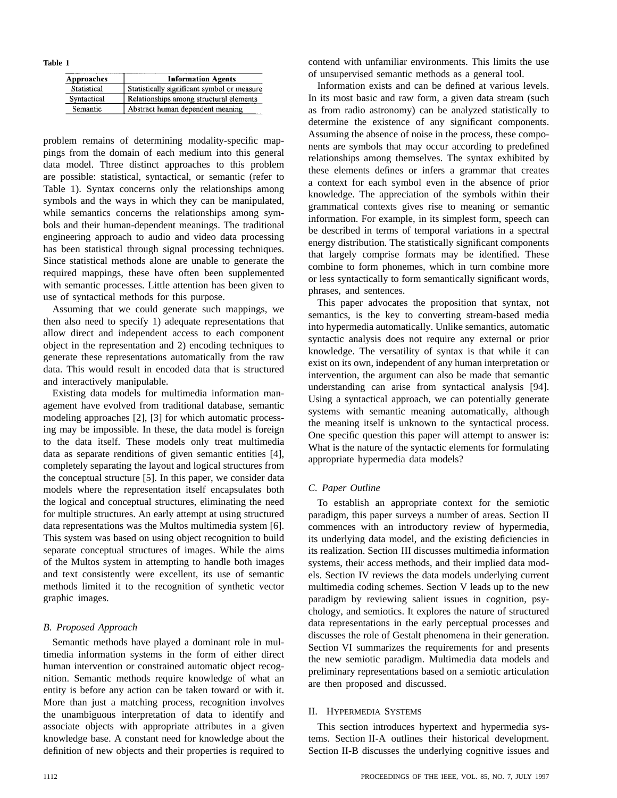| Approaches      | <b>Information Agents</b>                   |  |
|-----------------|---------------------------------------------|--|
| Statistical     | Statistically significant symbol or measure |  |
| Syntactical     | Relationships among structural elements     |  |
| <b>Semantic</b> | Abstract human dependent meaning            |  |

problem remains of determining modality-specific mappings from the domain of each medium into this general data model. Three distinct approaches to this problem are possible: statistical, syntactical, or semantic (refer to Table 1). Syntax concerns only the relationships among symbols and the ways in which they can be manipulated, while semantics concerns the relationships among symbols and their human-dependent meanings. The traditional engineering approach to audio and video data processing has been statistical through signal processing techniques. Since statistical methods alone are unable to generate the required mappings, these have often been supplemented with semantic processes. Little attention has been given to use of syntactical methods for this purpose.

Assuming that we could generate such mappings, we then also need to specify 1) adequate representations that allow direct and independent access to each component object in the representation and 2) encoding techniques to generate these representations automatically from the raw data. This would result in encoded data that is structured and interactively manipulable.

Existing data models for multimedia information management have evolved from traditional database, semantic modeling approaches [2], [3] for which automatic processing may be impossible. In these, the data model is foreign to the data itself. These models only treat multimedia data as separate renditions of given semantic entities [4], completely separating the layout and logical structures from the conceptual structure [5]. In this paper, we consider data models where the representation itself encapsulates both the logical and conceptual structures, eliminating the need for multiple structures. An early attempt at using structured data representations was the Multos multimedia system [6]. This system was based on using object recognition to build separate conceptual structures of images. While the aims of the Multos system in attempting to handle both images and text consistently were excellent, its use of semantic methods limited it to the recognition of synthetic vector graphic images.

## *B. Proposed Approach*

Semantic methods have played a dominant role in multimedia information systems in the form of either direct human intervention or constrained automatic object recognition. Semantic methods require knowledge of what an entity is before any action can be taken toward or with it. More than just a matching process, recognition involves the unambiguous interpretation of data to identify and associate objects with appropriate attributes in a given knowledge base. A constant need for knowledge about the definition of new objects and their properties is required to contend with unfamiliar environments. This limits the use of unsupervised semantic methods as a general tool.

Information exists and can be defined at various levels. In its most basic and raw form, a given data stream (such as from radio astronomy) can be analyzed statistically to determine the existence of any significant components. Assuming the absence of noise in the process, these components are symbols that may occur according to predefined relationships among themselves. The syntax exhibited by these elements defines or infers a grammar that creates a context for each symbol even in the absence of prior knowledge. The appreciation of the symbols within their grammatical contexts gives rise to meaning or semantic information. For example, in its simplest form, speech can be described in terms of temporal variations in a spectral energy distribution. The statistically significant components that largely comprise formats may be identified. These combine to form phonemes, which in turn combine more or less syntactically to form semantically significant words, phrases, and sentences.

This paper advocates the proposition that syntax, not semantics, is the key to converting stream-based media into hypermedia automatically. Unlike semantics, automatic syntactic analysis does not require any external or prior knowledge. The versatility of syntax is that while it can exist on its own, independent of any human interpretation or intervention, the argument can also be made that semantic understanding can arise from syntactical analysis [94]. Using a syntactical approach, we can potentially generate systems with semantic meaning automatically, although the meaning itself is unknown to the syntactical process. One specific question this paper will attempt to answer is: What is the nature of the syntactic elements for formulating appropriate hypermedia data models?

# *C. Paper Outline*

To establish an appropriate context for the semiotic paradigm, this paper surveys a number of areas. Section II commences with an introductory review of hypermedia, its underlying data model, and the existing deficiencies in its realization. Section III discusses multimedia information systems, their access methods, and their implied data models. Section IV reviews the data models underlying current multimedia coding schemes. Section V leads up to the new paradigm by reviewing salient issues in cognition, psychology, and semiotics. It explores the nature of structured data representations in the early perceptual processes and discusses the role of Gestalt phenomena in their generation. Section VI summarizes the requirements for and presents the new semiotic paradigm. Multimedia data models and preliminary representations based on a semiotic articulation are then proposed and discussed.

#### II. HYPERMEDIA SYSTEMS

This section introduces hypertext and hypermedia systems. Section II-A outlines their historical development. Section II-B discusses the underlying cognitive issues and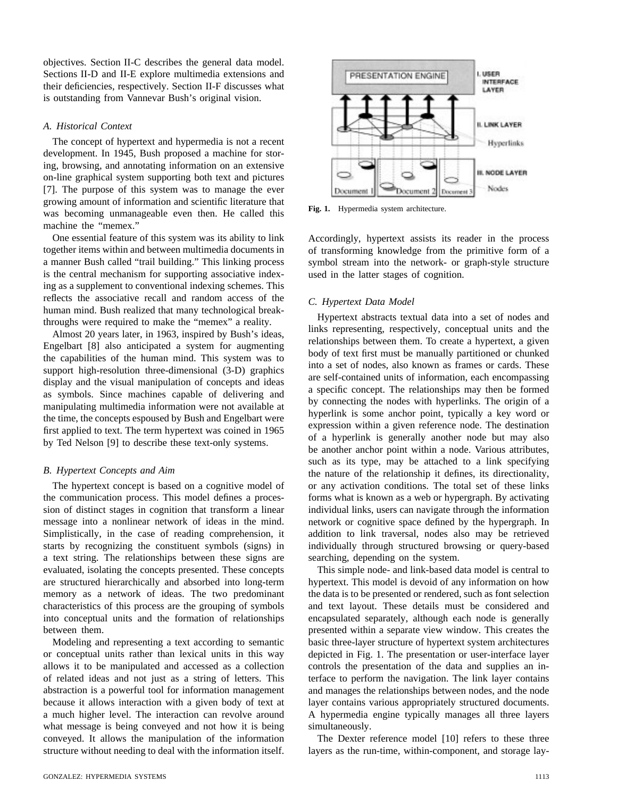objectives. Section II-C describes the general data model. Sections II-D and II-E explore multimedia extensions and their deficiencies, respectively. Section II-F discusses what is outstanding from Vannevar Bush's original vision.

#### *A. Historical Context*

The concept of hypertext and hypermedia is not a recent development. In 1945, Bush proposed a machine for storing, browsing, and annotating information on an extensive on-line graphical system supporting both text and pictures [7]. The purpose of this system was to manage the ever growing amount of information and scientific literature that was becoming unmanageable even then. He called this machine the "memex."

One essential feature of this system was its ability to link together items within and between multimedia documents in a manner Bush called "trail building." This linking process is the central mechanism for supporting associative indexing as a supplement to conventional indexing schemes. This reflects the associative recall and random access of the human mind. Bush realized that many technological breakthroughs were required to make the "memex" a reality.

Almost 20 years later, in 1963, inspired by Bush's ideas, Engelbart [8] also anticipated a system for augmenting the capabilities of the human mind. This system was to support high-resolution three-dimensional (3-D) graphics display and the visual manipulation of concepts and ideas as symbols. Since machines capable of delivering and manipulating multimedia information were not available at the time, the concepts espoused by Bush and Engelbart were first applied to text. The term hypertext was coined in 1965 by Ted Nelson [9] to describe these text-only systems.

#### *B. Hypertext Concepts and Aim*

The hypertext concept is based on a cognitive model of the communication process. This model defines a procession of distinct stages in cognition that transform a linear message into a nonlinear network of ideas in the mind. Simplistically, in the case of reading comprehension, it starts by recognizing the constituent symbols (signs) in a text string. The relationships between these signs are evaluated, isolating the concepts presented. These concepts are structured hierarchically and absorbed into long-term memory as a network of ideas. The two predominant characteristics of this process are the grouping of symbols into conceptual units and the formation of relationships between them.

Modeling and representing a text according to semantic or conceptual units rather than lexical units in this way allows it to be manipulated and accessed as a collection of related ideas and not just as a string of letters. This abstraction is a powerful tool for information management because it allows interaction with a given body of text at a much higher level. The interaction can revolve around what message is being conveyed and not how it is being conveyed. It allows the manipulation of the information structure without needing to deal with the information itself.



**Fig. 1.** Hypermedia system architecture.

Accordingly, hypertext assists its reader in the process of transforming knowledge from the primitive form of a symbol stream into the network- or graph-style structure used in the latter stages of cognition.

#### *C. Hypertext Data Model*

Hypertext abstracts textual data into a set of nodes and links representing, respectively, conceptual units and the relationships between them. To create a hypertext, a given body of text first must be manually partitioned or chunked into a set of nodes, also known as frames or cards. These are self-contained units of information, each encompassing a specific concept. The relationships may then be formed by connecting the nodes with hyperlinks. The origin of a hyperlink is some anchor point, typically a key word or expression within a given reference node. The destination of a hyperlink is generally another node but may also be another anchor point within a node. Various attributes, such as its type, may be attached to a link specifying the nature of the relationship it defines, its directionality, or any activation conditions. The total set of these links forms what is known as a web or hypergraph. By activating individual links, users can navigate through the information network or cognitive space defined by the hypergraph. In addition to link traversal, nodes also may be retrieved individually through structured browsing or query-based searching, depending on the system.

This simple node- and link-based data model is central to hypertext. This model is devoid of any information on how the data is to be presented or rendered, such as font selection and text layout. These details must be considered and encapsulated separately, although each node is generally presented within a separate view window. This creates the basic three-layer structure of hypertext system architectures depicted in Fig. 1. The presentation or user-interface layer controls the presentation of the data and supplies an interface to perform the navigation. The link layer contains and manages the relationships between nodes, and the node layer contains various appropriately structured documents. A hypermedia engine typically manages all three layers simultaneously.

The Dexter reference model [10] refers to these three layers as the run-time, within-component, and storage lay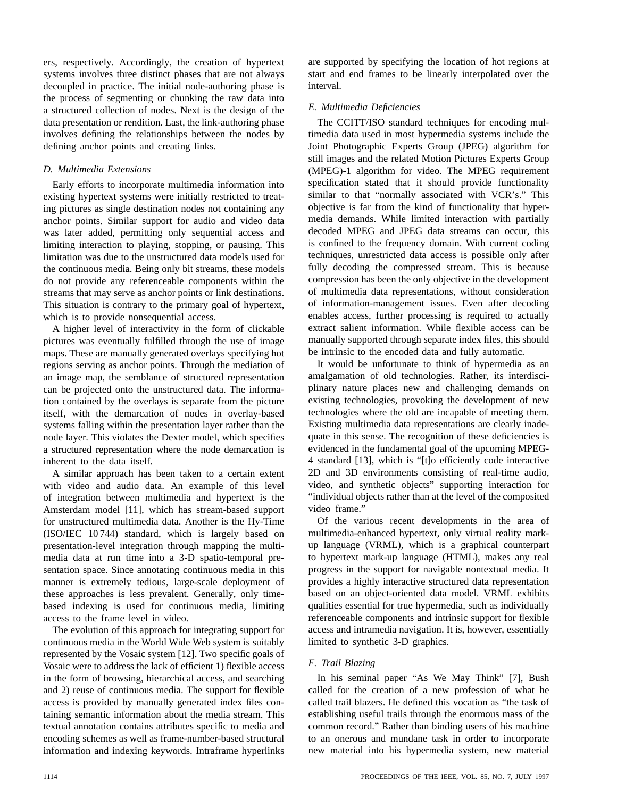ers, respectively. Accordingly, the creation of hypertext systems involves three distinct phases that are not always decoupled in practice. The initial node-authoring phase is the process of segmenting or chunking the raw data into a structured collection of nodes. Next is the design of the data presentation or rendition. Last, the link-authoring phase involves defining the relationships between the nodes by defining anchor points and creating links.

# *D. Multimedia Extensions*

Early efforts to incorporate multimedia information into existing hypertext systems were initially restricted to treating pictures as single destination nodes not containing any anchor points. Similar support for audio and video data was later added, permitting only sequential access and limiting interaction to playing, stopping, or pausing. This limitation was due to the unstructured data models used for the continuous media. Being only bit streams, these models do not provide any referenceable components within the streams that may serve as anchor points or link destinations. This situation is contrary to the primary goal of hypertext, which is to provide nonsequential access.

A higher level of interactivity in the form of clickable pictures was eventually fulfilled through the use of image maps. These are manually generated overlays specifying hot regions serving as anchor points. Through the mediation of an image map, the semblance of structured representation can be projected onto the unstructured data. The information contained by the overlays is separate from the picture itself, with the demarcation of nodes in overlay-based systems falling within the presentation layer rather than the node layer. This violates the Dexter model, which specifies a structured representation where the node demarcation is inherent to the data itself.

A similar approach has been taken to a certain extent with video and audio data. An example of this level of integration between multimedia and hypertext is the Amsterdam model [11], which has stream-based support for unstructured multimedia data. Another is the Hy-Time (ISO/IEC 10 744) standard, which is largely based on presentation-level integration through mapping the multimedia data at run time into a 3-D spatio-temporal presentation space. Since annotating continuous media in this manner is extremely tedious, large-scale deployment of these approaches is less prevalent. Generally, only timebased indexing is used for continuous media, limiting access to the frame level in video.

The evolution of this approach for integrating support for continuous media in the World Wide Web system is suitably represented by the Vosaic system [12]. Two specific goals of Vosaic were to address the lack of efficient 1) flexible access in the form of browsing, hierarchical access, and searching and 2) reuse of continuous media. The support for flexible access is provided by manually generated index files containing semantic information about the media stream. This textual annotation contains attributes specific to media and encoding schemes as well as frame-number-based structural information and indexing keywords. Intraframe hyperlinks are supported by specifying the location of hot regions at start and end frames to be linearly interpolated over the interval.

# *E. Multimedia Deficiencies*

The CCITT/ISO standard techniques for encoding multimedia data used in most hypermedia systems include the Joint Photographic Experts Group (JPEG) algorithm for still images and the related Motion Pictures Experts Group (MPEG)-1 algorithm for video. The MPEG requirement specification stated that it should provide functionality similar to that "normally associated with VCR's." This objective is far from the kind of functionality that hypermedia demands. While limited interaction with partially decoded MPEG and JPEG data streams can occur, this is confined to the frequency domain. With current coding techniques, unrestricted data access is possible only after fully decoding the compressed stream. This is because compression has been the only objective in the development of multimedia data representations, without consideration of information-management issues. Even after decoding enables access, further processing is required to actually extract salient information. While flexible access can be manually supported through separate index files, this should be intrinsic to the encoded data and fully automatic.

It would be unfortunate to think of hypermedia as an amalgamation of old technologies. Rather, its interdisciplinary nature places new and challenging demands on existing technologies, provoking the development of new technologies where the old are incapable of meeting them. Existing multimedia data representations are clearly inadequate in this sense. The recognition of these deficiencies is evidenced in the fundamental goal of the upcoming MPEG-4 standard [13], which is "[t]o efficiently code interactive 2D and 3D environments consisting of real-time audio, video, and synthetic objects" supporting interaction for "individual objects rather than at the level of the composited video frame."

Of the various recent developments in the area of multimedia-enhanced hypertext, only virtual reality markup language (VRML), which is a graphical counterpart to hypertext mark-up language (HTML), makes any real progress in the support for navigable nontextual media. It provides a highly interactive structured data representation based on an object-oriented data model. VRML exhibits qualities essential for true hypermedia, such as individually referenceable components and intrinsic support for flexible access and intramedia navigation. It is, however, essentially limited to synthetic 3-D graphics.

# *F. Trail Blazing*

In his seminal paper "As We May Think" [7], Bush called for the creation of a new profession of what he called trail blazers. He defined this vocation as "the task of establishing useful trails through the enormous mass of the common record." Rather than binding users of his machine to an onerous and mundane task in order to incorporate new material into his hypermedia system, new material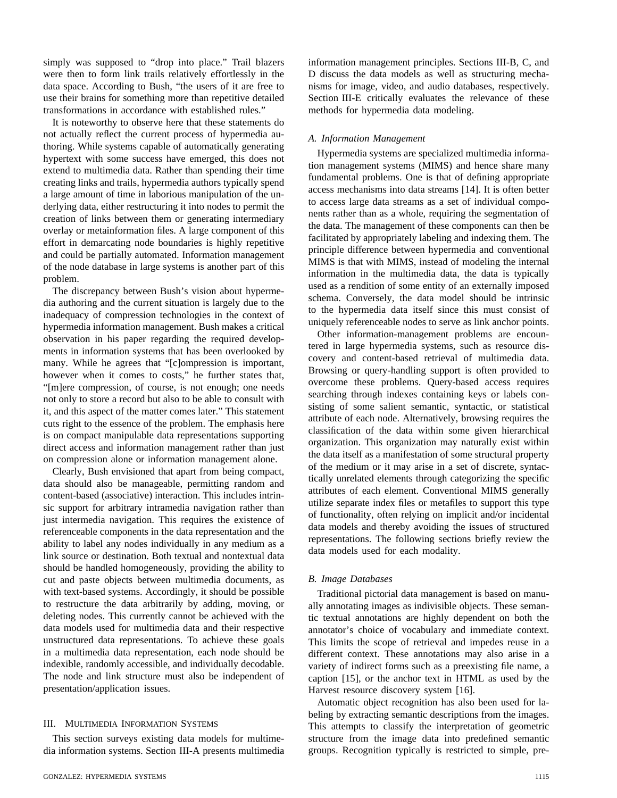simply was supposed to "drop into place." Trail blazers were then to form link trails relatively effortlessly in the data space. According to Bush, "the users of it are free to use their brains for something more than repetitive detailed transformations in accordance with established rules."

It is noteworthy to observe here that these statements do not actually reflect the current process of hypermedia authoring. While systems capable of automatically generating hypertext with some success have emerged, this does not extend to multimedia data. Rather than spending their time creating links and trails, hypermedia authors typically spend a large amount of time in laborious manipulation of the underlying data, either restructuring it into nodes to permit the creation of links between them or generating intermediary overlay or metainformation files. A large component of this effort in demarcating node boundaries is highly repetitive and could be partially automated. Information management of the node database in large systems is another part of this problem.

The discrepancy between Bush's vision about hypermedia authoring and the current situation is largely due to the inadequacy of compression technologies in the context of hypermedia information management. Bush makes a critical observation in his paper regarding the required developments in information systems that has been overlooked by many. While he agrees that "[c]ompression is important, however when it comes to costs," he further states that, "[m]ere compression, of course, is not enough; one needs not only to store a record but also to be able to consult with it, and this aspect of the matter comes later." This statement cuts right to the essence of the problem. The emphasis here is on compact manipulable data representations supporting direct access and information management rather than just on compression alone or information management alone.

Clearly, Bush envisioned that apart from being compact, data should also be manageable, permitting random and content-based (associative) interaction. This includes intrinsic support for arbitrary intramedia navigation rather than just intermedia navigation. This requires the existence of referenceable components in the data representation and the ability to label any nodes individually in any medium as a link source or destination. Both textual and nontextual data should be handled homogeneously, providing the ability to cut and paste objects between multimedia documents, as with text-based systems. Accordingly, it should be possible to restructure the data arbitrarily by adding, moving, or deleting nodes. This currently cannot be achieved with the data models used for multimedia data and their respective unstructured data representations. To achieve these goals in a multimedia data representation, each node should be indexible, randomly accessible, and individually decodable. The node and link structure must also be independent of presentation/application issues.

#### III. MULTIMEDIA INFORMATION SYSTEMS

This section surveys existing data models for multimedia information systems. Section III-A presents multimedia information management principles. Sections III-B, C, and D discuss the data models as well as structuring mechanisms for image, video, and audio databases, respectively. Section III-E critically evaluates the relevance of these methods for hypermedia data modeling.

# *A. Information Management*

Hypermedia systems are specialized multimedia information management systems (MIMS) and hence share many fundamental problems. One is that of defining appropriate access mechanisms into data streams [14]. It is often better to access large data streams as a set of individual components rather than as a whole, requiring the segmentation of the data. The management of these components can then be facilitated by appropriately labeling and indexing them. The principle difference between hypermedia and conventional MIMS is that with MIMS, instead of modeling the internal information in the multimedia data, the data is typically used as a rendition of some entity of an externally imposed schema. Conversely, the data model should be intrinsic to the hypermedia data itself since this must consist of uniquely referenceable nodes to serve as link anchor points.

Other information-management problems are encountered in large hypermedia systems, such as resource discovery and content-based retrieval of multimedia data. Browsing or query-handling support is often provided to overcome these problems. Query-based access requires searching through indexes containing keys or labels consisting of some salient semantic, syntactic, or statistical attribute of each node. Alternatively, browsing requires the classification of the data within some given hierarchical organization. This organization may naturally exist within the data itself as a manifestation of some structural property of the medium or it may arise in a set of discrete, syntactically unrelated elements through categorizing the specific attributes of each element. Conventional MIMS generally utilize separate index files or metafiles to support this type of functionality, often relying on implicit and/or incidental data models and thereby avoiding the issues of structured representations. The following sections briefly review the data models used for each modality.

#### *B. Image Databases*

Traditional pictorial data management is based on manually annotating images as indivisible objects. These semantic textual annotations are highly dependent on both the annotator's choice of vocabulary and immediate context. This limits the scope of retrieval and impedes reuse in a different context. These annotations may also arise in a variety of indirect forms such as a preexisting file name, a caption [15], or the anchor text in HTML as used by the Harvest resource discovery system [16].

Automatic object recognition has also been used for labeling by extracting semantic descriptions from the images. This attempts to classify the interpretation of geometric structure from the image data into predefined semantic groups. Recognition typically is restricted to simple, pre-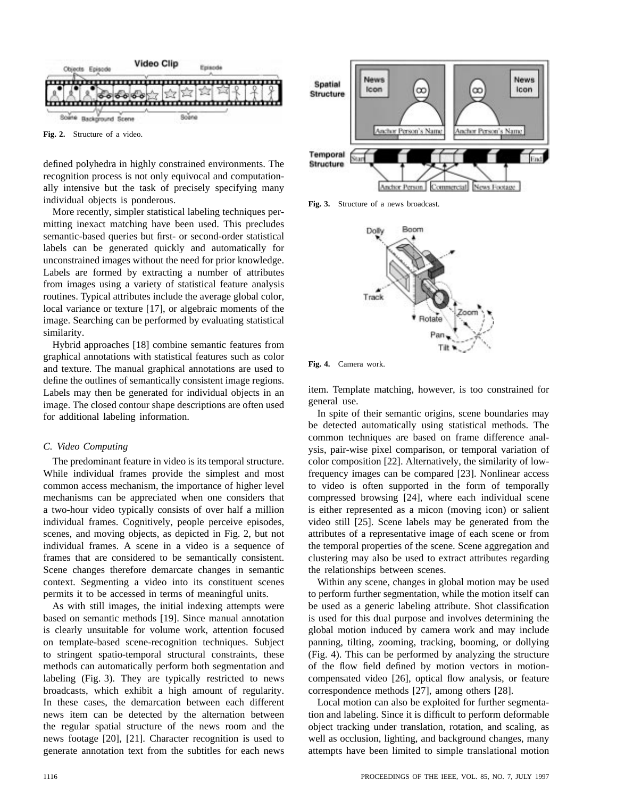

**Fig. 2.** Structure of a video.

defined polyhedra in highly constrained environments. The recognition process is not only equivocal and computationally intensive but the task of precisely specifying many individual objects is ponderous.

More recently, simpler statistical labeling techniques permitting inexact matching have been used. This precludes semantic-based queries but first- or second-order statistical labels can be generated quickly and automatically for unconstrained images without the need for prior knowledge. Labels are formed by extracting a number of attributes from images using a variety of statistical feature analysis routines. Typical attributes include the average global color, local variance or texture [17], or algebraic moments of the image. Searching can be performed by evaluating statistical similarity.

Hybrid approaches [18] combine semantic features from graphical annotations with statistical features such as color and texture. The manual graphical annotations are used to define the outlines of semantically consistent image regions. Labels may then be generated for individual objects in an image. The closed contour shape descriptions are often used for additional labeling information.

#### *C. Video Computing*

The predominant feature in video is its temporal structure. While individual frames provide the simplest and most common access mechanism, the importance of higher level mechanisms can be appreciated when one considers that a two-hour video typically consists of over half a million individual frames. Cognitively, people perceive episodes, scenes, and moving objects, as depicted in Fig. 2, but not individual frames. A scene in a video is a sequence of frames that are considered to be semantically consistent. Scene changes therefore demarcate changes in semantic context. Segmenting a video into its constituent scenes permits it to be accessed in terms of meaningful units.

As with still images, the initial indexing attempts were based on semantic methods [19]. Since manual annotation is clearly unsuitable for volume work, attention focused on template-based scene-recognition techniques. Subject to stringent spatio-temporal structural constraints, these methods can automatically perform both segmentation and labeling (Fig. 3). They are typically restricted to news broadcasts, which exhibit a high amount of regularity. In these cases, the demarcation between each different news item can be detected by the alternation between the regular spatial structure of the news room and the news footage [20], [21]. Character recognition is used to generate annotation text from the subtitles for each news



**Fig. 3.** Structure of a news broadcast.





item. Template matching, however, is too constrained for general use.

In spite of their semantic origins, scene boundaries may be detected automatically using statistical methods. The common techniques are based on frame difference analysis, pair-wise pixel comparison, or temporal variation of color composition [22]. Alternatively, the similarity of lowfrequency images can be compared [23]. Nonlinear access to video is often supported in the form of temporally compressed browsing [24], where each individual scene is either represented as a micon (moving icon) or salient video still [25]. Scene labels may be generated from the attributes of a representative image of each scene or from the temporal properties of the scene. Scene aggregation and clustering may also be used to extract attributes regarding the relationships between scenes.

Within any scene, changes in global motion may be used to perform further segmentation, while the motion itself can be used as a generic labeling attribute. Shot classification is used for this dual purpose and involves determining the global motion induced by camera work and may include panning, tilting, zooming, tracking, booming, or dollying (Fig. 4). This can be performed by analyzing the structure of the flow field defined by motion vectors in motioncompensated video [26], optical flow analysis, or feature correspondence methods [27], among others [28].

Local motion can also be exploited for further segmentation and labeling. Since it is difficult to perform deformable object tracking under translation, rotation, and scaling, as well as occlusion, lighting, and background changes, many attempts have been limited to simple translational motion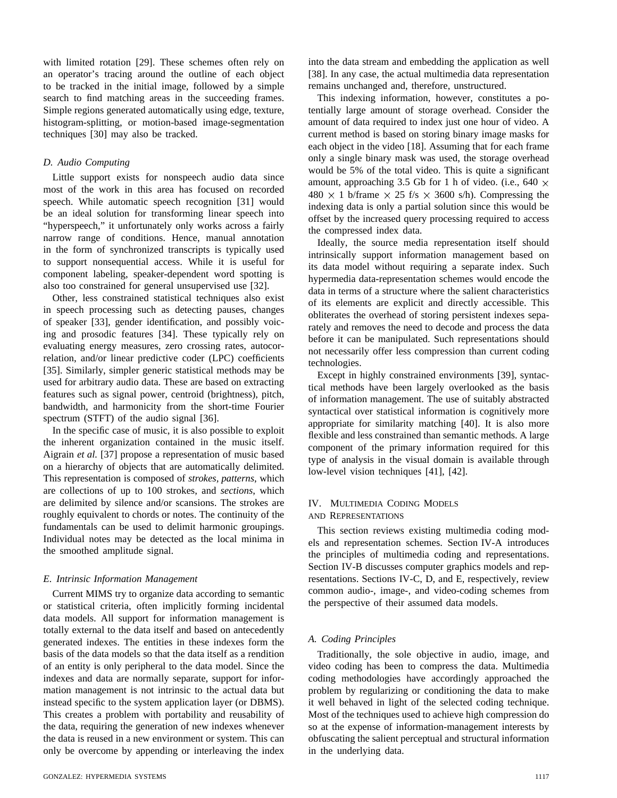with limited rotation [29]. These schemes often rely on an operator's tracing around the outline of each object to be tracked in the initial image, followed by a simple search to find matching areas in the succeeding frames. Simple regions generated automatically using edge, texture, histogram-splitting, or motion-based image-segmentation techniques [30] may also be tracked.

## *D. Audio Computing*

Little support exists for nonspeech audio data since most of the work in this area has focused on recorded speech. While automatic speech recognition [31] would be an ideal solution for transforming linear speech into "hyperspeech," it unfortunately only works across a fairly narrow range of conditions. Hence, manual annotation in the form of synchronized transcripts is typically used to support nonsequential access. While it is useful for component labeling, speaker-dependent word spotting is also too constrained for general unsupervised use [32].

Other, less constrained statistical techniques also exist in speech processing such as detecting pauses, changes of speaker [33], gender identification, and possibly voicing and prosodic features [34]. These typically rely on evaluating energy measures, zero crossing rates, autocorrelation, and/or linear predictive coder (LPC) coefficients [35]. Similarly, simpler generic statistical methods may be used for arbitrary audio data. These are based on extracting features such as signal power, centroid (brightness), pitch, bandwidth, and harmonicity from the short-time Fourier spectrum (STFT) of the audio signal [36].

In the specific case of music, it is also possible to exploit the inherent organization contained in the music itself. Aigrain *et al.* [37] propose a representation of music based on a hierarchy of objects that are automatically delimited. This representation is composed of *strokes, patterns*, which are collections of up to 100 strokes, and *sections*, which are delimited by silence and/or scansions. The strokes are roughly equivalent to chords or notes. The continuity of the fundamentals can be used to delimit harmonic groupings. Individual notes may be detected as the local minima in the smoothed amplitude signal.

#### *E. Intrinsic Information Management*

Current MIMS try to organize data according to semantic or statistical criteria, often implicitly forming incidental data models. All support for information management is totally external to the data itself and based on antecedently generated indexes. The entities in these indexes form the basis of the data models so that the data itself as a rendition of an entity is only peripheral to the data model. Since the indexes and data are normally separate, support for information management is not intrinsic to the actual data but instead specific to the system application layer (or DBMS). This creates a problem with portability and reusability of the data, requiring the generation of new indexes whenever the data is reused in a new environment or system. This can only be overcome by appending or interleaving the index into the data stream and embedding the application as well [38]. In any case, the actual multimedia data representation remains unchanged and, therefore, unstructured.

This indexing information, however, constitutes a potentially large amount of storage overhead. Consider the amount of data required to index just one hour of video. A current method is based on storing binary image masks for each object in the video [18]. Assuming that for each frame only a single binary mask was used, the storage overhead would be 5% of the total video. This is quite a significant amount, approaching 3.5 Gb for 1 h of video. (i.e., 640  $\times$  $480 \times 1$  b/frame  $\times 25$  f/s  $\times 3600$  s/h). Compressing the indexing data is only a partial solution since this would be offset by the increased query processing required to access the compressed index data.

Ideally, the source media representation itself should intrinsically support information management based on its data model without requiring a separate index. Such hypermedia data-representation schemes would encode the data in terms of a structure where the salient characteristics of its elements are explicit and directly accessible. This obliterates the overhead of storing persistent indexes separately and removes the need to decode and process the data before it can be manipulated. Such representations should not necessarily offer less compression than current coding technologies.

Except in highly constrained environments [39], syntactical methods have been largely overlooked as the basis of information management. The use of suitably abstracted syntactical over statistical information is cognitively more appropriate for similarity matching [40]. It is also more flexible and less constrained than semantic methods. A large component of the primary information required for this type of analysis in the visual domain is available through low-level vision techniques [41], [42].

# IV. MULTIMEDIA CODING MODELS AND REPRESENTATIONS

This section reviews existing multimedia coding models and representation schemes. Section IV-A introduces the principles of multimedia coding and representations. Section IV-B discusses computer graphics models and representations. Sections IV-C, D, and E, respectively, review common audio-, image-, and video-coding schemes from the perspective of their assumed data models.

# *A. Coding Principles*

Traditionally, the sole objective in audio, image, and video coding has been to compress the data. Multimedia coding methodologies have accordingly approached the problem by regularizing or conditioning the data to make it well behaved in light of the selected coding technique. Most of the techniques used to achieve high compression do so at the expense of information-management interests by obfuscating the salient perceptual and structural information in the underlying data.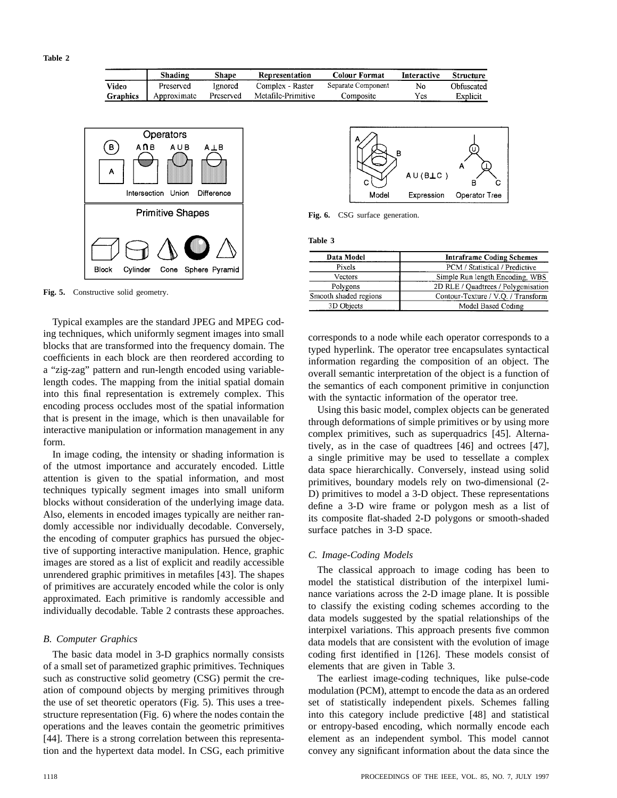**Table 2**

|                 |             | Shane     | Representation     | <b>Colour Format</b> | Interactive<br>Structure |
|-----------------|-------------|-----------|--------------------|----------------------|--------------------------|
| Video           | Preserved   | lgnored   | Complex - Raster   | Separate Component   | Obfuscated<br>No         |
| <b>Graphics</b> | Approximate | Preserved | Metafile-Primitive | Composite            | Yes<br>Explicit          |



Fig. 5. Constructive solid geometry.

Typical examples are the standard JPEG and MPEG coding techniques, which uniformly segment images into small blocks that are transformed into the frequency domain. The coefficients in each block are then reordered according to a "zig-zag" pattern and run-length encoded using variablelength codes. The mapping from the initial spatial domain into this final representation is extremely complex. This encoding process occludes most of the spatial information that is present in the image, which is then unavailable for interactive manipulation or information management in any form.

In image coding, the intensity or shading information is of the utmost importance and accurately encoded. Little attention is given to the spatial information, and most techniques typically segment images into small uniform blocks without consideration of the underlying image data. Also, elements in encoded images typically are neither randomly accessible nor individually decodable. Conversely, the encoding of computer graphics has pursued the objective of supporting interactive manipulation. Hence, graphic images are stored as a list of explicit and readily accessible unrendered graphic primitives in metafiles [43]. The shapes of primitives are accurately encoded while the color is only approximated. Each primitive is randomly accessible and individually decodable. Table 2 contrasts these approaches.

#### *B. Computer Graphics*

The basic data model in 3-D graphics normally consists of a small set of parametized graphic primitives. Techniques such as constructive solid geometry (CSG) permit the creation of compound objects by merging primitives through the use of set theoretic operators (Fig. 5). This uses a treestructure representation (Fig. 6) where the nodes contain the operations and the leaves contain the geometric primitives [44]. There is a strong correlation between this representation and the hypertext data model. In CSG, each primitive



**Fig. 6.** CSG surface generation.

**Table 3**

| Data Model            | <b>Intraframe Coding Schemes</b>    |  |
|-----------------------|-------------------------------------|--|
| Pixels                | PCM / Statistical / Predictive      |  |
| Vectors               | Simple Run length Encoding, WBS     |  |
| Polygons              | 2D RLE / Quadtrees / Polygonisation |  |
| Smooth shaded regions | Contour-Texture / V.Q. / Transform  |  |
| 3D Objects            | Model Based Coding                  |  |

corresponds to a node while each operator corresponds to a typed hyperlink. The operator tree encapsulates syntactical information regarding the composition of an object. The overall semantic interpretation of the object is a function of the semantics of each component primitive in conjunction with the syntactic information of the operator tree.

Using this basic model, complex objects can be generated through deformations of simple primitives or by using more complex primitives, such as superquadrics [45]. Alternatively, as in the case of quadtrees [46] and octrees [47], a single primitive may be used to tessellate a complex data space hierarchically. Conversely, instead using solid primitives, boundary models rely on two-dimensional (2- D) primitives to model a 3-D object. These representations define a 3-D wire frame or polygon mesh as a list of its composite flat-shaded 2-D polygons or smooth-shaded surface patches in 3-D space.

# *C. Image-Coding Models*

The classical approach to image coding has been to model the statistical distribution of the interpixel luminance variations across the 2-D image plane. It is possible to classify the existing coding schemes according to the data models suggested by the spatial relationships of the interpixel variations. This approach presents five common data models that are consistent with the evolution of image coding first identified in [126]. These models consist of elements that are given in Table 3.

The earliest image-coding techniques, like pulse-code modulation (PCM), attempt to encode the data as an ordered set of statistically independent pixels. Schemes falling into this category include predictive [48] and statistical or entropy-based encoding, which normally encode each element as an independent symbol. This model cannot convey any significant information about the data since the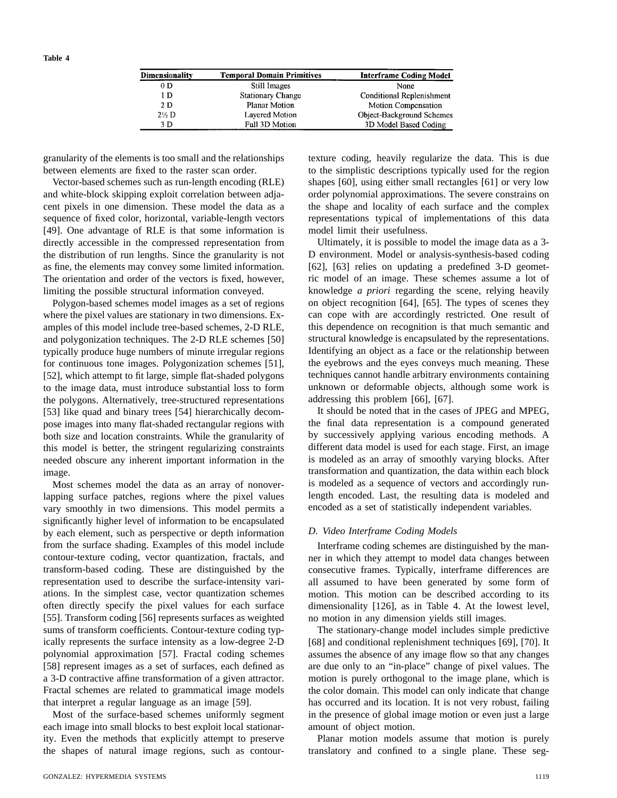**Table 4**

| <b>Dimensionality</b> | <b>Temporal Domain Primitives</b> | <b>Interframe Coding Model</b>   |
|-----------------------|-----------------------------------|----------------------------------|
| 0 <sub>D</sub>        | Still Images                      | None                             |
| 1 D                   | Stationary Change                 | <b>Conditional Replenishment</b> |
| 2 D                   | <b>Planar Motion</b>              | <b>Motion Compensation</b>       |
| $2\%$ D               | <b>Layered Motion</b>             | Object-Background Schemes        |
| 3D                    | Full 3D Motion                    | 3D Model Based Coding            |

granularity of the elements is too small and the relationships between elements are fixed to the raster scan order.

Vector-based schemes such as run-length encoding (RLE) and white-block skipping exploit correlation between adjacent pixels in one dimension. These model the data as a sequence of fixed color, horizontal, variable-length vectors [49]. One advantage of RLE is that some information is directly accessible in the compressed representation from the distribution of run lengths. Since the granularity is not as fine, the elements may convey some limited information. The orientation and order of the vectors is fixed, however, limiting the possible structural information conveyed.

Polygon-based schemes model images as a set of regions where the pixel values are stationary in two dimensions. Examples of this model include tree-based schemes, 2-D RLE, and polygonization techniques. The 2-D RLE schemes [50] typically produce huge numbers of minute irregular regions for continuous tone images. Polygonization schemes [51], [52], which attempt to fit large, simple flat-shaded polygons to the image data, must introduce substantial loss to form the polygons. Alternatively, tree-structured representations [53] like quad and binary trees [54] hierarchically decompose images into many flat-shaded rectangular regions with both size and location constraints. While the granularity of this model is better, the stringent regularizing constraints needed obscure any inherent important information in the image.

Most schemes model the data as an array of nonoverlapping surface patches, regions where the pixel values vary smoothly in two dimensions. This model permits a significantly higher level of information to be encapsulated by each element, such as perspective or depth information from the surface shading. Examples of this model include contour-texture coding, vector quantization, fractals, and transform-based coding. These are distinguished by the representation used to describe the surface-intensity variations. In the simplest case, vector quantization schemes often directly specify the pixel values for each surface [55]. Transform coding [56] represents surfaces as weighted sums of transform coefficients. Contour-texture coding typically represents the surface intensity as a low-degree 2-D polynomial approximation [57]. Fractal coding schemes [58] represent images as a set of surfaces, each defined as a 3-D contractive affine transformation of a given attractor. Fractal schemes are related to grammatical image models that interpret a regular language as an image [59].

Most of the surface-based schemes uniformly segment each image into small blocks to best exploit local stationarity. Even the methods that explicitly attempt to preserve the shapes of natural image regions, such as contourtexture coding, heavily regularize the data. This is due to the simplistic descriptions typically used for the region shapes [60], using either small rectangles [61] or very low order polynomial approximations. The severe constrains on the shape and locality of each surface and the complex representations typical of implementations of this data model limit their usefulness.

Ultimately, it is possible to model the image data as a 3- D environment. Model or analysis-synthesis-based coding [62], [63] relies on updating a predefined 3-D geometric model of an image. These schemes assume a lot of knowledge *a priori* regarding the scene, relying heavily on object recognition [64], [65]. The types of scenes they can cope with are accordingly restricted. One result of this dependence on recognition is that much semantic and structural knowledge is encapsulated by the representations. Identifying an object as a face or the relationship between the eyebrows and the eyes conveys much meaning. These techniques cannot handle arbitrary environments containing unknown or deformable objects, although some work is addressing this problem [66], [67].

It should be noted that in the cases of JPEG and MPEG, the final data representation is a compound generated by successively applying various encoding methods. A different data model is used for each stage. First, an image is modeled as an array of smoothly varying blocks. After transformation and quantization, the data within each block is modeled as a sequence of vectors and accordingly runlength encoded. Last, the resulting data is modeled and encoded as a set of statistically independent variables.

# *D. Video Interframe Coding Models*

Interframe coding schemes are distinguished by the manner in which they attempt to model data changes between consecutive frames. Typically, interframe differences are all assumed to have been generated by some form of motion. This motion can be described according to its dimensionality [126], as in Table 4. At the lowest level, no motion in any dimension yields still images.

The stationary-change model includes simple predictive [68] and conditional replenishment techniques [69], [70]. It assumes the absence of any image flow so that any changes are due only to an "in-place" change of pixel values. The motion is purely orthogonal to the image plane, which is the color domain. This model can only indicate that change has occurred and its location. It is not very robust, failing in the presence of global image motion or even just a large amount of object motion.

Planar motion models assume that motion is purely translatory and confined to a single plane. These seg-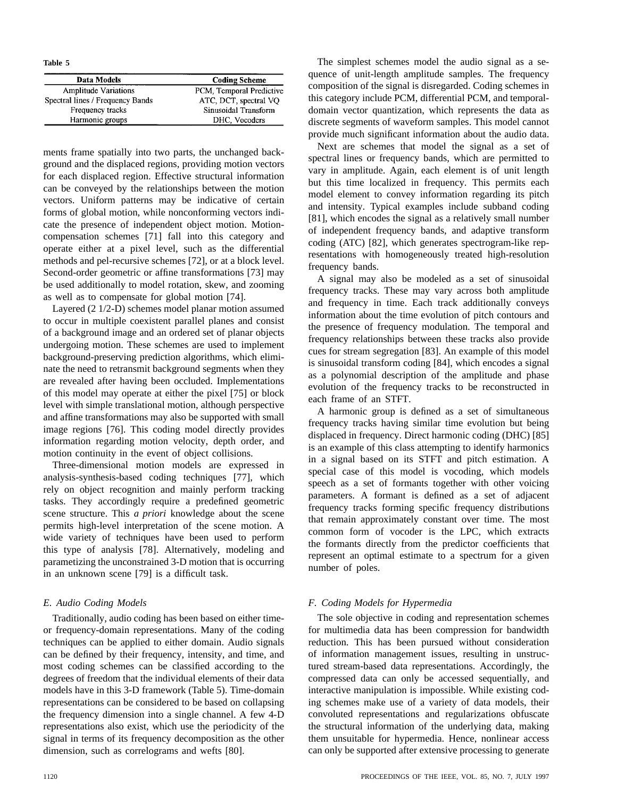| able |
|------|
|------|

| Data Models                      | <b>Coding Scheme</b>     |
|----------------------------------|--------------------------|
| <b>Amplitude Variations</b>      | PCM, Temporal Predictive |
| Spectral lines / Frequency Bands | ATC, DCT, spectral VO    |
| Frequency tracks                 | Sinusoidal Transform     |
| Harmonic groups                  | DHC, Vocoders            |

ments frame spatially into two parts, the unchanged background and the displaced regions, providing motion vectors for each displaced region. Effective structural information can be conveyed by the relationships between the motion vectors. Uniform patterns may be indicative of certain forms of global motion, while nonconforming vectors indicate the presence of independent object motion. Motioncompensation schemes [71] fall into this category and operate either at a pixel level, such as the differential methods and pel-recursive schemes [72], or at a block level. Second-order geometric or affine transformations [73] may be used additionally to model rotation, skew, and zooming as well as to compensate for global motion [74].

Layered (2 1/2-D) schemes model planar motion assumed to occur in multiple coexistent parallel planes and consist of a background image and an ordered set of planar objects undergoing motion. These schemes are used to implement background-preserving prediction algorithms, which eliminate the need to retransmit background segments when they are revealed after having been occluded. Implementations of this model may operate at either the pixel [75] or block level with simple translational motion, although perspective and affine transformations may also be supported with small image regions [76]. This coding model directly provides information regarding motion velocity, depth order, and motion continuity in the event of object collisions.

Three-dimensional motion models are expressed in analysis-synthesis-based coding techniques [77], which rely on object recognition and mainly perform tracking tasks. They accordingly require a predefined geometric scene structure. This *a priori* knowledge about the scene permits high-level interpretation of the scene motion. A wide variety of techniques have been used to perform this type of analysis [78]. Alternatively, modeling and parametizing the unconstrained 3-D motion that is occurring in an unknown scene [79] is a difficult task.

## *E. Audio Coding Models*

Traditionally, audio coding has been based on either timeor frequency-domain representations. Many of the coding techniques can be applied to either domain. Audio signals can be defined by their frequency, intensity, and time, and most coding schemes can be classified according to the degrees of freedom that the individual elements of their data models have in this 3-D framework (Table 5). Time-domain representations can be considered to be based on collapsing the frequency dimension into a single channel. A few 4-D representations also exist, which use the periodicity of the signal in terms of its frequency decomposition as the other dimension, such as correlograms and wefts [80].

The simplest schemes model the audio signal as a sequence of unit-length amplitude samples. The frequency composition of the signal is disregarded. Coding schemes in this category include PCM, differential PCM, and temporaldomain vector quantization, which represents the data as discrete segments of waveform samples. This model cannot provide much significant information about the audio data.

Next are schemes that model the signal as a set of spectral lines or frequency bands, which are permitted to vary in amplitude. Again, each element is of unit length but this time localized in frequency. This permits each model element to convey information regarding its pitch and intensity. Typical examples include subband coding [81], which encodes the signal as a relatively small number of independent frequency bands, and adaptive transform coding (ATC) [82], which generates spectrogram-like representations with homogeneously treated high-resolution frequency bands.

A signal may also be modeled as a set of sinusoidal frequency tracks. These may vary across both amplitude and frequency in time. Each track additionally conveys information about the time evolution of pitch contours and the presence of frequency modulation. The temporal and frequency relationships between these tracks also provide cues for stream segregation [83]. An example of this model is sinusoidal transform coding [84], which encodes a signal as a polynomial description of the amplitude and phase evolution of the frequency tracks to be reconstructed in each frame of an STFT.

A harmonic group is defined as a set of simultaneous frequency tracks having similar time evolution but being displaced in frequency. Direct harmonic coding (DHC) [85] is an example of this class attempting to identify harmonics in a signal based on its STFT and pitch estimation. A special case of this model is vocoding, which models speech as a set of formants together with other voicing parameters. A formant is defined as a set of adjacent frequency tracks forming specific frequency distributions that remain approximately constant over time. The most common form of vocoder is the LPC, which extracts the formants directly from the predictor coefficients that represent an optimal estimate to a spectrum for a given number of poles.

#### *F. Coding Models for Hypermedia*

The sole objective in coding and representation schemes for multimedia data has been compression for bandwidth reduction. This has been pursued without consideration of information management issues, resulting in unstructured stream-based data representations. Accordingly, the compressed data can only be accessed sequentially, and interactive manipulation is impossible. While existing coding schemes make use of a variety of data models, their convoluted representations and regularizations obfuscate the structural information of the underlying data, making them unsuitable for hypermedia. Hence, nonlinear access can only be supported after extensive processing to generate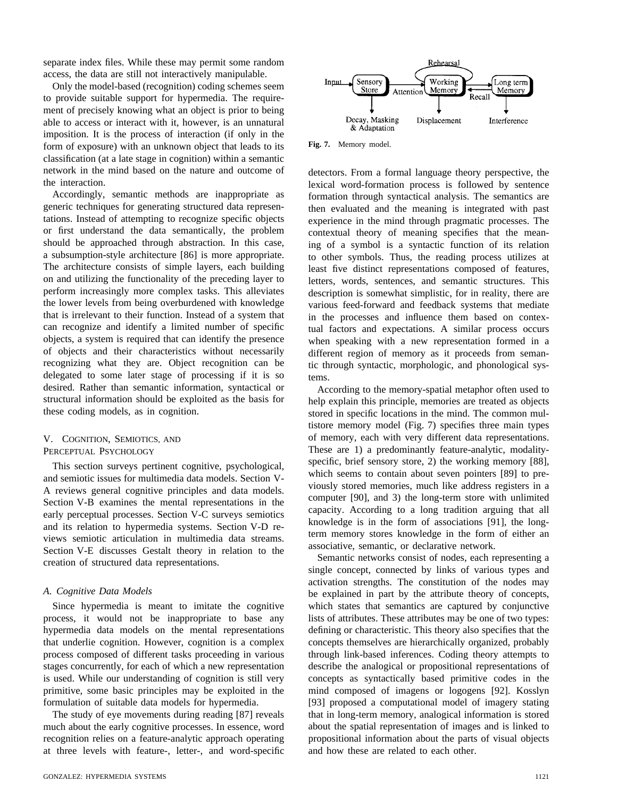separate index files. While these may permit some random access, the data are still not interactively manipulable.

Only the model-based (recognition) coding schemes seem to provide suitable support for hypermedia. The requirement of precisely knowing what an object is prior to being able to access or interact with it, however, is an unnatural imposition. It is the process of interaction (if only in the form of exposure) with an unknown object that leads to its classification (at a late stage in cognition) within a semantic network in the mind based on the nature and outcome of the interaction.

Accordingly, semantic methods are inappropriate as generic techniques for generating structured data representations. Instead of attempting to recognize specific objects or first understand the data semantically, the problem should be approached through abstraction. In this case, a subsumption-style architecture [86] is more appropriate. The architecture consists of simple layers, each building on and utilizing the functionality of the preceding layer to perform increasingly more complex tasks. This alleviates the lower levels from being overburdened with knowledge that is irrelevant to their function. Instead of a system that can recognize and identify a limited number of specific objects, a system is required that can identify the presence of objects and their characteristics without necessarily recognizing what they are. Object recognition can be delegated to some later stage of processing if it is so desired. Rather than semantic information, syntactical or structural information should be exploited as the basis for these coding models, as in cognition.

# V. COGNITION, SEMIOTICS, AND PERCEPTUAL PSYCHOLOGY

This section surveys pertinent cognitive, psychological, and semiotic issues for multimedia data models. Section V-A reviews general cognitive principles and data models. Section V-B examines the mental representations in the early perceptual processes. Section V-C surveys semiotics and its relation to hypermedia systems. Section V-D reviews semiotic articulation in multimedia data streams. Section V-E discusses Gestalt theory in relation to the creation of structured data representations.

## *A. Cognitive Data Models*

Since hypermedia is meant to imitate the cognitive process, it would not be inappropriate to base any hypermedia data models on the mental representations that underlie cognition. However, cognition is a complex process composed of different tasks proceeding in various stages concurrently, for each of which a new representation is used. While our understanding of cognition is still very primitive, some basic principles may be exploited in the formulation of suitable data models for hypermedia.

The study of eye movements during reading [87] reveals much about the early cognitive processes. In essence, word recognition relies on a feature-analytic approach operating at three levels with feature-, letter-, and word-specific



**Fig. 7.** Memory model.

detectors. From a formal language theory perspective, the lexical word-formation process is followed by sentence formation through syntactical analysis. The semantics are then evaluated and the meaning is integrated with past experience in the mind through pragmatic processes. The contextual theory of meaning specifies that the meaning of a symbol is a syntactic function of its relation to other symbols. Thus, the reading process utilizes at least five distinct representations composed of features, letters, words, sentences, and semantic structures. This description is somewhat simplistic, for in reality, there are various feed-forward and feedback systems that mediate in the processes and influence them based on contextual factors and expectations. A similar process occurs when speaking with a new representation formed in a different region of memory as it proceeds from semantic through syntactic, morphologic, and phonological systems.

According to the memory-spatial metaphor often used to help explain this principle, memories are treated as objects stored in specific locations in the mind. The common multistore memory model (Fig. 7) specifies three main types of memory, each with very different data representations. These are 1) a predominantly feature-analytic, modalityspecific, brief sensory store, 2) the working memory [88], which seems to contain about seven pointers [89] to previously stored memories, much like address registers in a computer [90], and 3) the long-term store with unlimited capacity. According to a long tradition arguing that all knowledge is in the form of associations [91], the longterm memory stores knowledge in the form of either an associative, semantic, or declarative network.

Semantic networks consist of nodes, each representing a single concept, connected by links of various types and activation strengths. The constitution of the nodes may be explained in part by the attribute theory of concepts, which states that semantics are captured by conjunctive lists of attributes. These attributes may be one of two types: defining or characteristic. This theory also specifies that the concepts themselves are hierarchically organized, probably through link-based inferences. Coding theory attempts to describe the analogical or propositional representations of concepts as syntactically based primitive codes in the mind composed of imagens or logogens [92]. Kosslyn [93] proposed a computational model of imagery stating that in long-term memory, analogical information is stored about the spatial representation of images and is linked to propositional information about the parts of visual objects and how these are related to each other.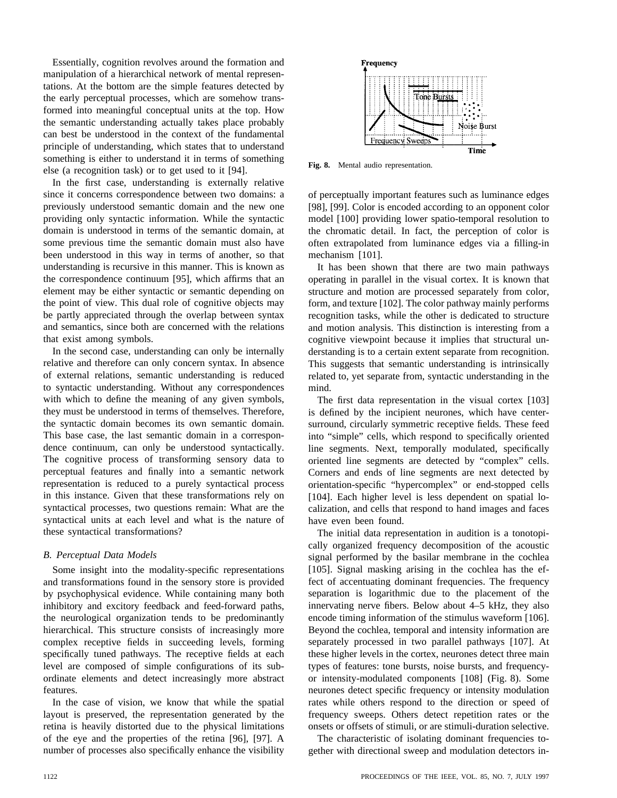Essentially, cognition revolves around the formation and manipulation of a hierarchical network of mental representations. At the bottom are the simple features detected by the early perceptual processes, which are somehow transformed into meaningful conceptual units at the top. How the semantic understanding actually takes place probably can best be understood in the context of the fundamental principle of understanding, which states that to understand something is either to understand it in terms of something else (a recognition task) or to get used to it [94].

In the first case, understanding is externally relative since it concerns correspondence between two domains: a previously understood semantic domain and the new one providing only syntactic information. While the syntactic domain is understood in terms of the semantic domain, at some previous time the semantic domain must also have been understood in this way in terms of another, so that understanding is recursive in this manner. This is known as the correspondence continuum [95], which affirms that an element may be either syntactic or semantic depending on the point of view. This dual role of cognitive objects may be partly appreciated through the overlap between syntax and semantics, since both are concerned with the relations that exist among symbols.

In the second case, understanding can only be internally relative and therefore can only concern syntax. In absence of external relations, semantic understanding is reduced to syntactic understanding. Without any correspondences with which to define the meaning of any given symbols, they must be understood in terms of themselves. Therefore, the syntactic domain becomes its own semantic domain. This base case, the last semantic domain in a correspondence continuum, can only be understood syntactically. The cognitive process of transforming sensory data to perceptual features and finally into a semantic network representation is reduced to a purely syntactical process in this instance. Given that these transformations rely on syntactical processes, two questions remain: What are the syntactical units at each level and what is the nature of these syntactical transformations?

#### *B. Perceptual Data Models*

Some insight into the modality-specific representations and transformations found in the sensory store is provided by psychophysical evidence. While containing many both inhibitory and excitory feedback and feed-forward paths, the neurological organization tends to be predominantly hierarchical. This structure consists of increasingly more complex receptive fields in succeeding levels, forming specifically tuned pathways. The receptive fields at each level are composed of simple configurations of its subordinate elements and detect increasingly more abstract features.

In the case of vision, we know that while the spatial layout is preserved, the representation generated by the retina is heavily distorted due to the physical limitations of the eye and the properties of the retina [96], [97]. A number of processes also specifically enhance the visibility



**Fig. 8.** Mental audio representation.

of perceptually important features such as luminance edges [98], [99]. Color is encoded according to an opponent color model [100] providing lower spatio-temporal resolution to the chromatic detail. In fact, the perception of color is often extrapolated from luminance edges via a filling-in mechanism [101].

It has been shown that there are two main pathways operating in parallel in the visual cortex. It is known that structure and motion are processed separately from color, form, and texture [102]. The color pathway mainly performs recognition tasks, while the other is dedicated to structure and motion analysis. This distinction is interesting from a cognitive viewpoint because it implies that structural understanding is to a certain extent separate from recognition. This suggests that semantic understanding is intrinsically related to, yet separate from, syntactic understanding in the mind.

The first data representation in the visual cortex [103] is defined by the incipient neurones, which have centersurround, circularly symmetric receptive fields. These feed into "simple" cells, which respond to specifically oriented line segments. Next, temporally modulated, specifically oriented line segments are detected by "complex" cells. Corners and ends of line segments are next detected by orientation-specific "hypercomplex" or end-stopped cells [104]. Each higher level is less dependent on spatial localization, and cells that respond to hand images and faces have even been found.

The initial data representation in audition is a tonotopically organized frequency decomposition of the acoustic signal performed by the basilar membrane in the cochlea [105]. Signal masking arising in the cochlea has the effect of accentuating dominant frequencies. The frequency separation is logarithmic due to the placement of the innervating nerve fibers. Below about 4–5 kHz, they also encode timing information of the stimulus waveform [106]. Beyond the cochlea, temporal and intensity information are separately processed in two parallel pathways [107]. At these higher levels in the cortex, neurones detect three main types of features: tone bursts, noise bursts, and frequencyor intensity-modulated components [108] (Fig. 8). Some neurones detect specific frequency or intensity modulation rates while others respond to the direction or speed of frequency sweeps. Others detect repetition rates or the onsets or offsets of stimuli, or are stimuli-duration selective.

The characteristic of isolating dominant frequencies together with directional sweep and modulation detectors in-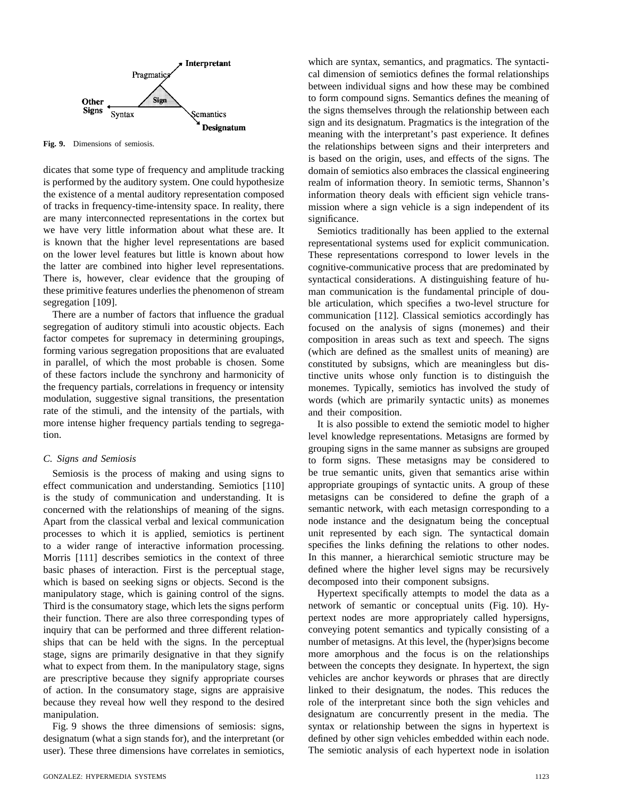

**Fig. 9.** Dimensions of semiosis.

dicates that some type of frequency and amplitude tracking is performed by the auditory system. One could hypothesize the existence of a mental auditory representation composed of tracks in frequency-time-intensity space. In reality, there are many interconnected representations in the cortex but we have very little information about what these are. It is known that the higher level representations are based on the lower level features but little is known about how the latter are combined into higher level representations. There is, however, clear evidence that the grouping of these primitive features underlies the phenomenon of stream segregation [109].

There are a number of factors that influence the gradual segregation of auditory stimuli into acoustic objects. Each factor competes for supremacy in determining groupings, forming various segregation propositions that are evaluated in parallel, of which the most probable is chosen. Some of these factors include the synchrony and harmonicity of the frequency partials, correlations in frequency or intensity modulation, suggestive signal transitions, the presentation rate of the stimuli, and the intensity of the partials, with more intense higher frequency partials tending to segregation.

#### *C. Signs and Semiosis*

Semiosis is the process of making and using signs to effect communication and understanding. Semiotics [110] is the study of communication and understanding. It is concerned with the relationships of meaning of the signs. Apart from the classical verbal and lexical communication processes to which it is applied, semiotics is pertinent to a wider range of interactive information processing. Morris [111] describes semiotics in the context of three basic phases of interaction. First is the perceptual stage, which is based on seeking signs or objects. Second is the manipulatory stage, which is gaining control of the signs. Third is the consumatory stage, which lets the signs perform their function. There are also three corresponding types of inquiry that can be performed and three different relationships that can be held with the signs. In the perceptual stage, signs are primarily designative in that they signify what to expect from them. In the manipulatory stage, signs are prescriptive because they signify appropriate courses of action. In the consumatory stage, signs are appraisive because they reveal how well they respond to the desired manipulation.

Fig. 9 shows the three dimensions of semiosis: signs, designatum (what a sign stands for), and the interpretant (or user). These three dimensions have correlates in semiotics,

which are syntax, semantics, and pragmatics. The syntactical dimension of semiotics defines the formal relationships between individual signs and how these may be combined to form compound signs. Semantics defines the meaning of the signs themselves through the relationship between each sign and its designatum. Pragmatics is the integration of the meaning with the interpretant's past experience. It defines the relationships between signs and their interpreters and is based on the origin, uses, and effects of the signs. The domain of semiotics also embraces the classical engineering realm of information theory. In semiotic terms, Shannon's information theory deals with efficient sign vehicle transmission where a sign vehicle is a sign independent of its significance.

Semiotics traditionally has been applied to the external representational systems used for explicit communication. These representations correspond to lower levels in the cognitive-communicative process that are predominated by syntactical considerations. A distinguishing feature of human communication is the fundamental principle of double articulation, which specifies a two-level structure for communication [112]. Classical semiotics accordingly has focused on the analysis of signs (monemes) and their composition in areas such as text and speech. The signs (which are defined as the smallest units of meaning) are constituted by subsigns, which are meaningless but distinctive units whose only function is to distinguish the monemes. Typically, semiotics has involved the study of words (which are primarily syntactic units) as monemes and their composition.

It is also possible to extend the semiotic model to higher level knowledge representations. Metasigns are formed by grouping signs in the same manner as subsigns are grouped to form signs. These metasigns may be considered to be true semantic units, given that semantics arise within appropriate groupings of syntactic units. A group of these metasigns can be considered to define the graph of a semantic network, with each metasign corresponding to a node instance and the designatum being the conceptual unit represented by each sign. The syntactical domain specifies the links defining the relations to other nodes. In this manner, a hierarchical semiotic structure may be defined where the higher level signs may be recursively decomposed into their component subsigns.

Hypertext specifically attempts to model the data as a network of semantic or conceptual units (Fig. 10). Hypertext nodes are more appropriately called hypersigns, conveying potent semantics and typically consisting of a number of metasigns. At this level, the (hyper)signs become more amorphous and the focus is on the relationships between the concepts they designate. In hypertext, the sign vehicles are anchor keywords or phrases that are directly linked to their designatum, the nodes. This reduces the role of the interpretant since both the sign vehicles and designatum are concurrently present in the media. The syntax or relationship between the signs in hypertext is defined by other sign vehicles embedded within each node. The semiotic analysis of each hypertext node in isolation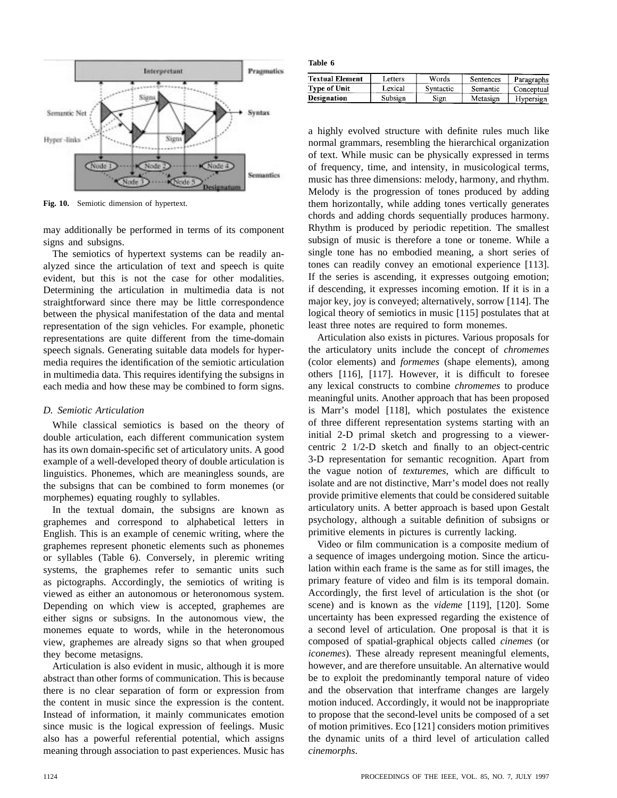

**Fig. 10.** Semiotic dimension of hypertext.

may additionally be performed in terms of its component signs and subsigns.

The semiotics of hypertext systems can be readily analyzed since the articulation of text and speech is quite evident, but this is not the case for other modalities. Determining the articulation in multimedia data is not straightforward since there may be little correspondence between the physical manifestation of the data and mental representation of the sign vehicles. For example, phonetic representations are quite different from the time-domain speech signals. Generating suitable data models for hypermedia requires the identification of the semiotic articulation in multimedia data. This requires identifying the subsigns in each media and how these may be combined to form signs.

#### *D. Semiotic Articulation*

While classical semiotics is based on the theory of double articulation, each different communication system has its own domain-specific set of articulatory units. A good example of a well-developed theory of double articulation is linguistics. Phonemes, which are meaningless sounds, are the subsigns that can be combined to form monemes (or morphemes) equating roughly to syllables.

In the textual domain, the subsigns are known as graphemes and correspond to alphabetical letters in English. This is an example of cenemic writing, where the graphemes represent phonetic elements such as phonemes or syllables (Table 6). Conversely, in pleremic writing systems, the graphemes refer to semantic units such as pictographs. Accordingly, the semiotics of writing is viewed as either an autonomous or heteronomous system. Depending on which view is accepted, graphemes are either signs or subsigns. In the autonomous view, the monemes equate to words, while in the heteronomous view, graphemes are already signs so that when grouped they become metasigns.

Articulation is also evident in music, although it is more abstract than other forms of communication. This is because there is no clear separation of form or expression from the content in music since the expression is the content. Instead of information, it mainly communicates emotion since music is the logical expression of feelings. Music also has a powerful referential potential, which assigns meaning through association to past experiences. Music has

| Letters | Words |
|---------|-------|
|         |       |

| <b>Textual Element</b> | Letters | Words     | Sentences | Paragraphs |
|------------------------|---------|-----------|-----------|------------|
| <b>Type of Unit</b>    | Lexical | Syntactic | Semantic  | Conceptual |
| <b>Designation</b>     | Subsign | Sign      | Metasign  | Hypersign  |

a highly evolved structure with definite rules much like normal grammars, resembling the hierarchical organization of text. While music can be physically expressed in terms of frequency, time, and intensity, in musicological terms, music has three dimensions: melody, harmony, and rhythm. Melody is the progression of tones produced by adding them horizontally, while adding tones vertically generates chords and adding chords sequentially produces harmony. Rhythm is produced by periodic repetition. The smallest subsign of music is therefore a tone or toneme. While a single tone has no embodied meaning, a short series of tones can readily convey an emotional experience [113]. If the series is ascending, it expresses outgoing emotion; if descending, it expresses incoming emotion. If it is in a major key, joy is conveyed; alternatively, sorrow [114]. The logical theory of semiotics in music [115] postulates that at least three notes are required to form monemes.

Articulation also exists in pictures. Various proposals for the articulatory units include the concept of *chromemes* (color elements) and *formemes* (shape elements), among others [116], [117]. However, it is difficult to foresee any lexical constructs to combine *chromemes* to produce meaningful units. Another approach that has been proposed is Marr's model [118], which postulates the existence of three different representation systems starting with an initial 2-D primal sketch and progressing to a viewercentric 2 1/2-D sketch and finally to an object-centric 3-D representation for semantic recognition. Apart from the vague notion of *texturemes*, which are difficult to isolate and are not distinctive, Marr's model does not really provide primitive elements that could be considered suitable articulatory units. A better approach is based upon Gestalt psychology, although a suitable definition of subsigns or primitive elements in pictures is currently lacking.

Video or film communication is a composite medium of a sequence of images undergoing motion. Since the articulation within each frame is the same as for still images, the primary feature of video and film is its temporal domain. Accordingly, the first level of articulation is the shot (or scene) and is known as the *videme* [119], [120]. Some uncertainty has been expressed regarding the existence of a second level of articulation. One proposal is that it is composed of spatial-graphical objects called *cinemes* (or *iconemes*). These already represent meaningful elements, however, and are therefore unsuitable. An alternative would be to exploit the predominantly temporal nature of video and the observation that interframe changes are largely motion induced. Accordingly, it would not be inappropriate to propose that the second-level units be composed of a set of motion primitives. Eco [121] considers motion primitives the dynamic units of a third level of articulation called *cinemorphs*.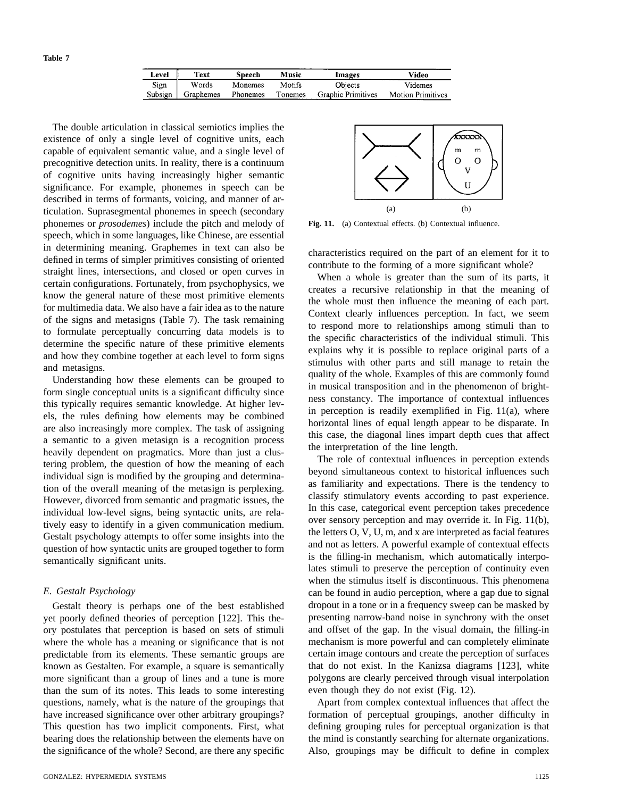| Level   | Text      | Sneech.        | Music   | Images             | Video                    |
|---------|-----------|----------------|---------|--------------------|--------------------------|
| Sign    | Words     | <b>Monemes</b> | Motifs  | Obiects            | Videmes                  |
| Subsign | Graphemes | Phonemes       | Tonemes | Graphic Primitives | <b>Motion Primitives</b> |

The double articulation in classical semiotics implies the existence of only a single level of cognitive units, each capable of equivalent semantic value, and a single level of precognitive detection units. In reality, there is a continuum of cognitive units having increasingly higher semantic significance. For example, phonemes in speech can be described in terms of formants, voicing, and manner of articulation. Suprasegmental phonemes in speech (secondary phonemes or *prosodemes*) include the pitch and melody of speech, which in some languages, like Chinese, are essential in determining meaning. Graphemes in text can also be defined in terms of simpler primitives consisting of oriented straight lines, intersections, and closed or open curves in certain configurations. Fortunately, from psychophysics, we know the general nature of these most primitive elements for multimedia data. We also have a fair idea as to the nature of the signs and metasigns (Table 7). The task remaining to formulate perceptually concurring data models is to determine the specific nature of these primitive elements and how they combine together at each level to form signs and metasigns.

Understanding how these elements can be grouped to form single conceptual units is a significant difficulty since this typically requires semantic knowledge. At higher levels, the rules defining how elements may be combined are also increasingly more complex. The task of assigning a semantic to a given metasign is a recognition process heavily dependent on pragmatics. More than just a clustering problem, the question of how the meaning of each individual sign is modified by the grouping and determination of the overall meaning of the metasign is perplexing. However, divorced from semantic and pragmatic issues, the individual low-level signs, being syntactic units, are relatively easy to identify in a given communication medium. Gestalt psychology attempts to offer some insights into the question of how syntactic units are grouped together to form semantically significant units.

## *E. Gestalt Psychology*

Gestalt theory is perhaps one of the best established yet poorly defined theories of perception [122]. This theory postulates that perception is based on sets of stimuli where the whole has a meaning or significance that is not predictable from its elements. These semantic groups are known as Gestalten. For example, a square is semantically more significant than a group of lines and a tune is more than the sum of its notes. This leads to some interesting questions, namely, what is the nature of the groupings that have increased significance over other arbitrary groupings? This question has two implicit components. First, what bearing does the relationship between the elements have on the significance of the whole? Second, are there any specific



Fig. 11. (a) Contextual effects. (b) Contextual influence.

characteristics required on the part of an element for it to contribute to the forming of a more significant whole?

When a whole is greater than the sum of its parts, it creates a recursive relationship in that the meaning of the whole must then influence the meaning of each part. Context clearly influences perception. In fact, we seem to respond more to relationships among stimuli than to the specific characteristics of the individual stimuli. This explains why it is possible to replace original parts of a stimulus with other parts and still manage to retain the quality of the whole. Examples of this are commonly found in musical transposition and in the phenomenon of brightness constancy. The importance of contextual influences in perception is readily exemplified in Fig. 11(a), where horizontal lines of equal length appear to be disparate. In this case, the diagonal lines impart depth cues that affect the interpretation of the line length.

The role of contextual influences in perception extends beyond simultaneous context to historical influences such as familiarity and expectations. There is the tendency to classify stimulatory events according to past experience. In this case, categorical event perception takes precedence over sensory perception and may override it. In Fig. 11(b), the letters O, V, U, m, and x are interpreted as facial features and not as letters. A powerful example of contextual effects is the filling-in mechanism, which automatically interpolates stimuli to preserve the perception of continuity even when the stimulus itself is discontinuous. This phenomena can be found in audio perception, where a gap due to signal dropout in a tone or in a frequency sweep can be masked by presenting narrow-band noise in synchrony with the onset and offset of the gap. In the visual domain, the filling-in mechanism is more powerful and can completely eliminate certain image contours and create the perception of surfaces that do not exist. In the Kanizsa diagrams [123], white polygons are clearly perceived through visual interpolation even though they do not exist (Fig. 12).

Apart from complex contextual influences that affect the formation of perceptual groupings, another difficulty in defining grouping rules for perceptual organization is that the mind is constantly searching for alternate organizations. Also, groupings may be difficult to define in complex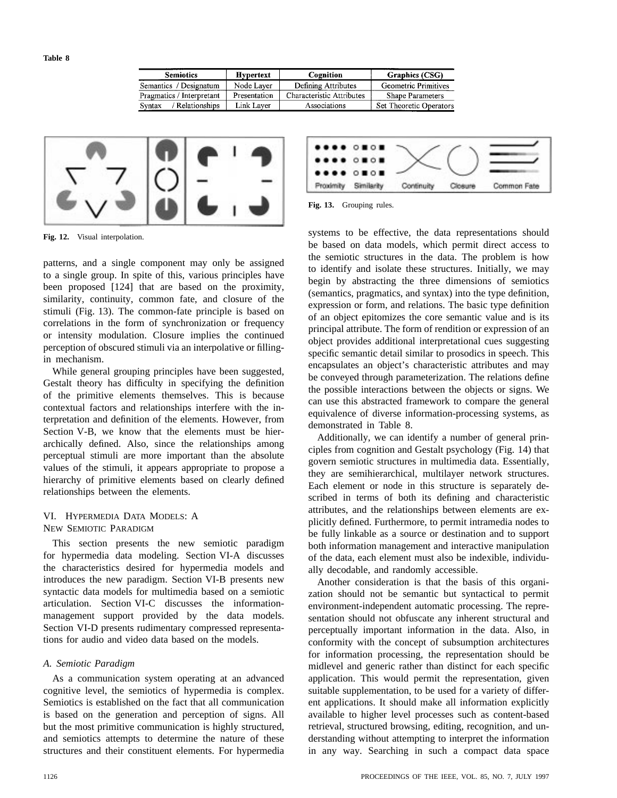| <b>Semiotics</b>                 | <b>Hypertext</b> | Cognition                 | Graphics (CSG)          |
|----------------------------------|------------------|---------------------------|-------------------------|
| Semantics / Designatum           | Node Layer       | Defining Attributes       | Geometric Primitives    |
| Pragmatics / Interpretant        | Presentation     | Characteristic Attributes | <b>Shape Parameters</b> |
| / Relationships<br><b>Syntax</b> | Link Laver       | Associations              | Set Theoretic Operators |





**Fig. 13.** Grouping rules.

**Fig. 12.** Visual interpolation.

patterns, and a single component may only be assigned to a single group. In spite of this, various principles have been proposed [124] that are based on the proximity, similarity, continuity, common fate, and closure of the stimuli (Fig. 13). The common-fate principle is based on correlations in the form of synchronization or frequency or intensity modulation. Closure implies the continued perception of obscured stimuli via an interpolative or fillingin mechanism.

While general grouping principles have been suggested, Gestalt theory has difficulty in specifying the definition of the primitive elements themselves. This is because contextual factors and relationships interfere with the interpretation and definition of the elements. However, from Section V-B, we know that the elements must be hierarchically defined. Also, since the relationships among perceptual stimuli are more important than the absolute values of the stimuli, it appears appropriate to propose a hierarchy of primitive elements based on clearly defined relationships between the elements.

# VI. HYPERMEDIA DATA MODELS: A NEW SEMIOTIC PARADIGM

This section presents the new semiotic paradigm for hypermedia data modeling. Section VI-A discusses the characteristics desired for hypermedia models and introduces the new paradigm. Section VI-B presents new syntactic data models for multimedia based on a semiotic articulation. Section VI-C discusses the informationmanagement support provided by the data models. Section VI-D presents rudimentary compressed representations for audio and video data based on the models.

# *A. Semiotic Paradigm*

As a communication system operating at an advanced cognitive level, the semiotics of hypermedia is complex. Semiotics is established on the fact that all communication is based on the generation and perception of signs. All but the most primitive communication is highly structured, and semiotics attempts to determine the nature of these structures and their constituent elements. For hypermedia systems to be effective, the data representations should be based on data models, which permit direct access to the semiotic structures in the data. The problem is how to identify and isolate these structures. Initially, we may begin by abstracting the three dimensions of semiotics (semantics, pragmatics, and syntax) into the type definition, expression or form, and relations. The basic type definition of an object epitomizes the core semantic value and is its principal attribute. The form of rendition or expression of an object provides additional interpretational cues suggesting specific semantic detail similar to prosodics in speech. This encapsulates an object's characteristic attributes and may be conveyed through parameterization. The relations define the possible interactions between the objects or signs. We can use this abstracted framework to compare the general equivalence of diverse information-processing systems, as demonstrated in Table 8.

Additionally, we can identify a number of general principles from cognition and Gestalt psychology (Fig. 14) that govern semiotic structures in multimedia data. Essentially, they are semihierarchical, multilayer network structures. Each element or node in this structure is separately described in terms of both its defining and characteristic attributes, and the relationships between elements are explicitly defined. Furthermore, to permit intramedia nodes to be fully linkable as a source or destination and to support both information management and interactive manipulation of the data, each element must also be indexible, individually decodable, and randomly accessible.

Another consideration is that the basis of this organization should not be semantic but syntactical to permit environment-independent automatic processing. The representation should not obfuscate any inherent structural and perceptually important information in the data. Also, in conformity with the concept of subsumption architectures for information processing, the representation should be midlevel and generic rather than distinct for each specific application. This would permit the representation, given suitable supplementation, to be used for a variety of different applications. It should make all information explicitly available to higher level processes such as content-based retrieval, structured browsing, editing, recognition, and understanding without attempting to interpret the information in any way. Searching in such a compact data space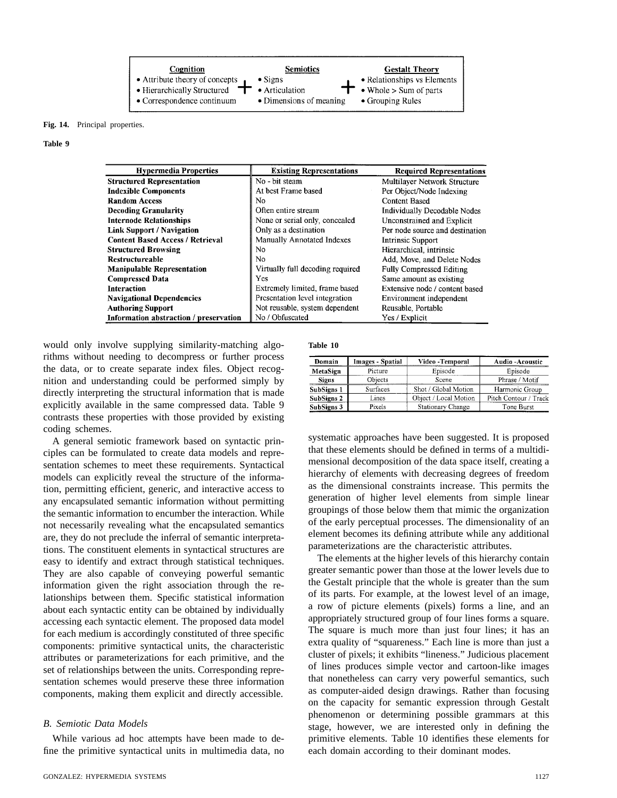

**Fig. 14.** Principal properties.

**Table 9**

| <b>Hypermedia Properties</b>            | <b>Existing Representations</b>  | <b>Required Representations</b> |
|-----------------------------------------|----------------------------------|---------------------------------|
| <b>Structured Representation</b>        | No - bit steam                   | Multilayer Network Structure    |
| <b>Indexible Components</b>             | At best Frame based              | Per Object/Node Indexing        |
| <b>Random Access</b>                    | No.                              | <b>Content Based</b>            |
| <b>Decoding Granularity</b>             | Often entire stream              | Individually Decodable Nodes    |
| <b>Internode Relationships</b>          | None or serial only, concealed   | Unconstrained and Explicit      |
| <b>Link Support / Navigation</b>        | Only as a destination            | Per node source and destination |
| <b>Content Based Access / Retrieval</b> | Manually Annotated Indexes       | Intrinsic Support               |
| <b>Structured Browsing</b>              | No.                              | Hierarchical, intrinsic         |
| <b>Restructureable</b>                  | No                               | Add, Move, and Delete Nodes     |
| <b>Manipulable Representation</b>       | Virtually full decoding required | <b>Fully Compressed Editing</b> |
| <b>Compressed Data</b>                  | Yes                              | Same amount as existing         |
| <b>Interaction</b>                      | Extremely limited, frame based   | Extensive node / content based  |
| <b>Navigational Dependencies</b>        | Presentation level integration   | Environment independent         |
| <b>Authoring Support</b>                | Not reusable, system dependent   | Reusable, Portable              |
| Information abstraction / preservation  | No / Obfuscated                  | Yes / Explicit                  |

would only involve supplying similarity-matching algorithms without needing to decompress or further process the data, or to create separate index files. Object recognition and understanding could be performed simply by directly interpreting the structural information that is made explicitly available in the same compressed data. Table 9 contrasts these properties with those provided by existing coding schemes.

A general semiotic framework based on syntactic principles can be formulated to create data models and representation schemes to meet these requirements. Syntactical models can explicitly reveal the structure of the information, permitting efficient, generic, and interactive access to any encapsulated semantic information without permitting the semantic information to encumber the interaction. While not necessarily revealing what the encapsulated semantics are, they do not preclude the inferral of semantic interpretations. The constituent elements in syntactical structures are easy to identify and extract through statistical techniques. They are also capable of conveying powerful semantic information given the right association through the relationships between them. Specific statistical information about each syntactic entity can be obtained by individually accessing each syntactic element. The proposed data model for each medium is accordingly constituted of three specific components: primitive syntactical units, the characteristic attributes or parameterizations for each primitive, and the set of relationships between the units. Corresponding representation schemes would preserve these three information components, making them explicit and directly accessible.

#### *B. Semiotic Data Models*

While various ad hoc attempts have been made to define the primitive syntactical units in multimedia data, no **Table 10**

| Domain               | <b>Images</b> Spatial | Video - Temporal      | Audio-Acoustic        |  |  |
|----------------------|-----------------------|-----------------------|-----------------------|--|--|
| MetaSign             | Picture               | Episode               | Episode               |  |  |
| Signs                | Objects               | Scene                 | Phrase / Motif        |  |  |
| SubSigns 1           | Surfaces              | Shot / Global Motion  | Harmonic Group        |  |  |
| SubSigns 2           | Lines                 | Object / Local Motion | Pitch Contour / Track |  |  |
| SubSigns 3<br>Pixels |                       | Stationary Change     | Tone Burst            |  |  |

systematic approaches have been suggested. It is proposed that these elements should be defined in terms of a multidimensional decomposition of the data space itself, creating a hierarchy of elements with decreasing degrees of freedom as the dimensional constraints increase. This permits the generation of higher level elements from simple linear groupings of those below them that mimic the organization of the early perceptual processes. The dimensionality of an element becomes its defining attribute while any additional parameterizations are the characteristic attributes.

The elements at the higher levels of this hierarchy contain greater semantic power than those at the lower levels due to the Gestalt principle that the whole is greater than the sum of its parts. For example, at the lowest level of an image, a row of picture elements (pixels) forms a line, and an appropriately structured group of four lines forms a square. The square is much more than just four lines; it has an extra quality of "squareness." Each line is more than just a cluster of pixels; it exhibits "lineness." Judicious placement of lines produces simple vector and cartoon-like images that nonetheless can carry very powerful semantics, such as computer-aided design drawings. Rather than focusing on the capacity for semantic expression through Gestalt phenomenon or determining possible grammars at this stage, however, we are interested only in defining the primitive elements. Table 10 identifies these elements for each domain according to their dominant modes.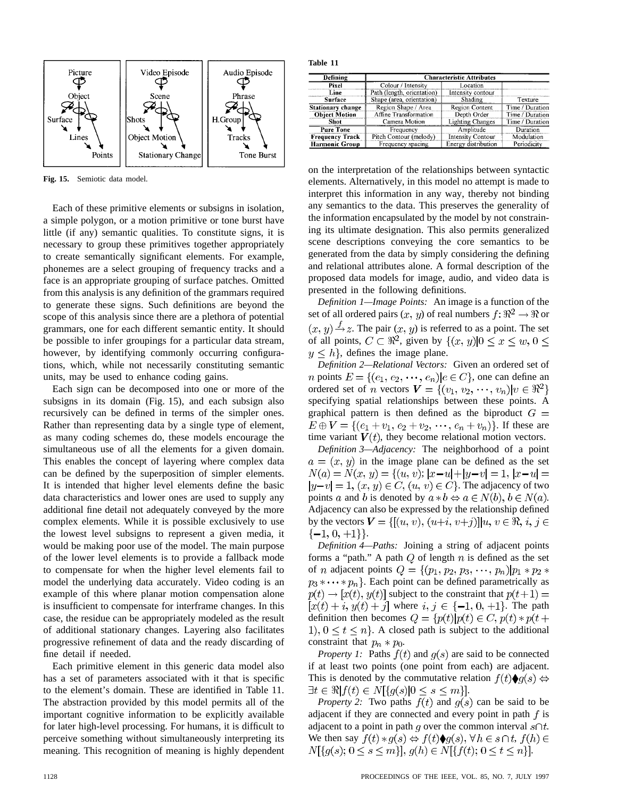

**Fig. 15.** Semiotic data model.

Each of these primitive elements or subsigns in isolation, a simple polygon, or a motion primitive or tone burst have little (if any) semantic qualities. To constitute signs, it is necessary to group these primitives together appropriately to create semantically significant elements. For example, phonemes are a select grouping of frequency tracks and a face is an appropriate grouping of surface patches. Omitted from this analysis is any definition of the grammars required to generate these signs. Such definitions are beyond the scope of this analysis since there are a plethora of potential grammars, one for each different semantic entity. It should be possible to infer groupings for a particular data stream, however, by identifying commonly occurring configurations, which, while not necessarily constituting semantic units, may be used to enhance coding gains.

Each sign can be decomposed into one or more of the subsigns in its domain (Fig. 15), and each subsign also recursively can be defined in terms of the simpler ones. Rather than representing data by a single type of element, as many coding schemes do, these models encourage the simultaneous use of all the elements for a given domain. This enables the concept of layering where complex data can be defined by the superposition of simpler elements. It is intended that higher level elements define the basic data characteristics and lower ones are used to supply any additional fine detail not adequately conveyed by the more complex elements. While it is possible exclusively to use the lowest level subsigns to represent a given media, it would be making poor use of the model. The main purpose of the lower level elements is to provide a fallback mode to compensate for when the higher level elements fail to model the underlying data accurately. Video coding is an example of this where planar motion compensation alone is insufficient to compensate for interframe changes. In this case, the residue can be appropriately modeled as the result of additional stationary changes. Layering also facilitates progressive refinement of data and the ready discarding of fine detail if needed.

Each primitive element in this generic data model also has a set of parameters associated with it that is specific to the element's domain. These are identified in Table 11. The abstraction provided by this model permits all of the important cognitive information to be explicitly available for later high-level processing. For humans, it is difficult to perceive something without simultaneously interpreting its meaning. This recognition of meaning is highly dependent

| lable |  |
|-------|--|
|       |  |

| Defining                                         | <b>Characteristic Attributes</b>           |                                                 |                 |  |
|--------------------------------------------------|--------------------------------------------|-------------------------------------------------|-----------------|--|
| Pixel                                            | Colour / Intensity                         | Location                                        |                 |  |
| Line                                             | Path (length, orientation)                 | Intensity contour                               |                 |  |
| Shape (area, orientation)<br>Surface             |                                            | Shading                                         | Texture         |  |
| <b>Stationary</b> change<br>Region Shape / Area  |                                            | Region Content                                  | Time / Duration |  |
| Affine Transformation<br><b>Object Motion</b>    |                                            | Depth Order                                     | Time / Duration |  |
| Camera Motion<br><b>Shot</b>                     |                                            | <b>Lighting Changes</b>                         | Time / Duration |  |
| <b>Pure Tone</b><br>Frequency                    |                                            | Amplitude                                       | Duration        |  |
| Pitch Contour (melody)<br><b>Frequency Track</b> |                                            | <b>Intensity Contour</b><br>Energy distribution | Modulation      |  |
|                                                  | <b>Harmonic Group</b><br>Frequency spacing |                                                 | Periodicity     |  |

on the interpretation of the relationships between syntactic elements. Alternatively, in this model no attempt is made to interpret this information in any way, thereby not binding any semantics to the data. This preserves the generality of the information encapsulated by the model by not constraining its ultimate designation. This also permits generalized scene descriptions conveying the core semantics to be generated from the data by simply considering the defining and relational attributes alone. A formal description of the proposed data models for image, audio, and video data is presented in the following definitions.

*Definition 1—Image Points:* An image is a function of the set of all ordered pairs  $(x, y)$  of real numbers  $f: \mathbb{R}^2 \to \mathbb{R}$  or  $(x, y) \stackrel{f}{\rightarrow} z$ . The pair  $(x, y)$  is referred to as a point. The set of all points,  $C \subset \mathbb{R}^2$ , given by  $\{(x, y) | 0 \le x \le w, 0 \le x \le y\}$  $y \leq h$ , defines the image plane.

*Definition 2—Relational Vectors:* Given an ordered set of *n* points  $E = \{(e_1, e_2, \dots, e_n) | e \in C\}$ , one can define an ordered set of *n* vectors  $V = \{(v_1, v_2, \dots, v_n)|v \in \Re^2\}$ specifying spatial relationships between these points. A graphical pattern is then defined as the biproduct  $G =$  $E \oplus V = \{(e_1 + v_1, e_2 + v_2, \dots, e_n + v_n)\}.$  If these are time variant  $V(t)$ , they become relational motion vectors.

*Definition 3—Adjacency:* The neighborhood of a point  $a = (x, y)$  in the image plane can be defined as the set  $N(a) = N(x, y) = \{(u, v); |x-u|+|y-v|=1, |x-u|=1\}$  $|y-v|=1$ ,  $(x, y) \in C$ ,  $(u, v) \in C$ . The adjacency of two points a and b is denoted by  $a * b \Leftrightarrow a \in N(b)$ ,  $b \in N(a)$ . Adjacency can also be expressed by the relationship defined by the vectors  $\mathbf{V} = \{[(u, v), (u+i, v+j)] | u, v \in \Re, i, j \in \mathbb{R}\}$  $\{-1, 0, +1\}\}.$ 

*Definition 4—Paths:* Joining a string of adjacent points forms a "path." A path  $Q$  of length  $n$  is defined as the set of *n* adjacent points  $Q = \{(p_1, p_2, p_3, \dots, p_n)|p_1 * p_2 *$  $p_3 * \cdots * p_n$ . Each point can be defined parametrically as  $p(t) \rightarrow [x(t), y(t)]$  subject to the constraint that  $p(t+1) =$  $[x(t) + i, y(t) + j]$  where  $i, j \in \{-1, 0, +1\}$ . The path definition then becomes  $Q = \{p(t)|p(t) \in C, p(t) * p(t + \theta)\}\$ 1),  $0 \le t \le n$ . A closed path is subject to the additional constraint that  $p_n * p_0$ .

*Property 1:* Paths  $f(t)$  and  $g(s)$  are said to be connected if at least two points (one point from each) are adjacent. This is denoted by the commutative relation  $f(t)\blacklozenge q(s) \Leftrightarrow$  $\exists t \in \Re | f(t) \in N | \{ g(s) | 0 \le s \le m \}].$ 

*Property 2:* Two paths  $f(t)$  and  $g(s)$  can be said to be adjacent if they are connected and every point in path  $f$  is adjacent to a point in path q over the common interval  $s \cap t$ . We then say  $f(t) * g(s) \Leftrightarrow f(t) \blacklozenge g(s), \forall h \in s \cap t, f(h) \in$  $N[\{g(s); 0 \le s \le m\}], g(h) \in N[\{f(t); 0 \le t \le n\}].$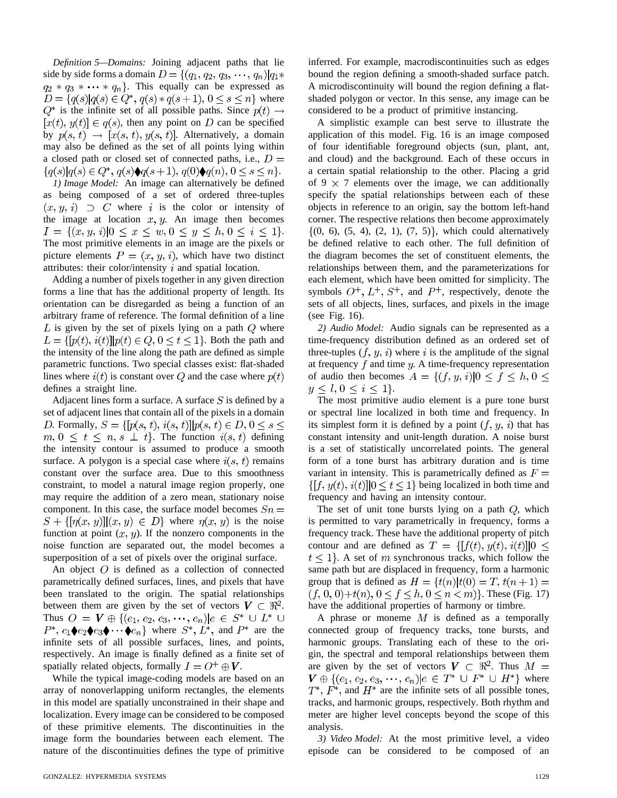*Definition 5—Domains:* Joining adjacent paths that lie side by side forms a domain  $D = \{(q_1, q_2, q_3, \dots, q_n)|q_1 *$  $q_2 * q_3 * \cdots * q_n$ . This equally can be expressed as  $D = \{q(s) | q(s) \in Q^*, q(s) * q(s+1), 0 \le s \le n\}$  where  $Q^*$  is the infinite set of all possible paths. Since  $p(t) \rightarrow$  $[x(t), y(t)] \in q(s)$ , then any point on D can be specified by  $p(s, t) \rightarrow [x(s, t), y(s, t)]$ . Alternatively, a domain may also be defined as the set of all points lying within a closed path or closed set of connected paths, i.e.,  $D =$  $\{q(s)|q(s) \in Q^*, q(s)\blacklozenge q(s+1), q(0)\blacklozenge q(n), 0 \le s \le n\}.$ 

*1) Image Model:* An image can alternatively be defined as being composed of a set of ordered three-tuples  $(x, y, i) \supset C$  where i is the color or intensity of the image at location  $x, y$ . An image then becomes  $I = \{(x, y, i)|0 \le x \le w, 0 \le y \le h, 0 \le i \le 1\}.$ The most primitive elements in an image are the pixels or picture elements  $P = (x, y, i)$ , which have two distinct attributes: their color/intensity  $i$  and spatial location.

Adding a number of pixels together in any given direction forms a line that has the additional property of length. Its orientation can be disregarded as being a function of an arbitrary frame of reference. The formal definition of a line  $L$  is given by the set of pixels lying on a path  $Q$  where  $L = \{ [p(t), i(t)] | p(t) \in Q, 0 \le t \le 1 \}$ . Both the path and the intensity of the line along the path are defined as simple parametric functions. Two special classes exist: flat-shaded lines where  $i(t)$  is constant over Q and the case where  $p(t)$ defines a straight line.

Adjacent lines form a surface. A surface  $S$  is defined by a set of adjacent lines that contain all of the pixels in a domain D. Formally,  $S = \{ [p(s, t), i(s, t)] | p(s, t) \in D, 0 \le s \le$  $m, 0 \leq t \leq n, s \perp t$ . The function  $i(s, t)$  defining the intensity contour is assumed to produce a smooth surface. A polygon is a special case where  $i(s, t)$  remains constant over the surface area. Due to this smoothness constraint, to model a natural image region properly, one may require the addition of a zero mean, stationary noise component. In this case, the surface model becomes  $Sn =$  $S + \{[\eta(x, y)]|(x, y) \in D\}$  where  $\eta(x, y)$  is the noise function at point  $(x, y)$ . If the nonzero components in the noise function are separated out, the model becomes a superposition of a set of pixels over the original surface.

An object  $O$  is defined as a collection of connected parametrically defined surfaces, lines, and pixels that have been translated to the origin. The spatial relationships between them are given by the set of vectors  $V \subset \mathbb{R}^2$ . Thus  $O = V \oplus \{(e_1, e_2, e_3, \dots, e_n) | e \in S^* \cup L^* \cup L^* \}$  $P^*, e_1 \blacklozenge e_2 \blacklozenge e_3 \blacklozenge \cdots \blacklozenge e_n\}$  where  $S^*, L^*,$  and  $P^*$  are the infinite sets of all possible surfaces, lines, and points, respectively. An image is finally defined as a finite set of spatially related objects, formally  $I = O^+ \oplus V$ .

While the typical image-coding models are based on an array of nonoverlapping uniform rectangles, the elements in this model are spatially unconstrained in their shape and localization. Every image can be considered to be composed of these primitive elements. The discontinuities in the image form the boundaries between each element. The nature of the discontinuities defines the type of primitive

inferred. For example, macrodiscontinuities such as edges bound the region defining a smooth-shaded surface patch. A microdiscontinuity will bound the region defining a flatshaded polygon or vector. In this sense, any image can be considered to be a product of primitive instancing.

A simplistic example can best serve to illustrate the application of this model. Fig. 16 is an image composed of four identifiable foreground objects (sun, plant, ant, and cloud) and the background. Each of these occurs in a certain spatial relationship to the other. Placing a grid of 9  $\times$  7 elements over the image, we can additionally specify the spatial relationships between each of these objects in reference to an origin, say the bottom left-hand corner. The respective relations then become approximately  $\{(0, 6), (5, 4), (2, 1), (7, 5)\}$ , which could alternatively be defined relative to each other. The full definition of the diagram becomes the set of constituent elements, the relationships between them, and the parameterizations for each element, which have been omitted for simplicity. The symbols  $O^+, L^+, S^+,$  and  $P^+$ , respectively, denote the sets of all objects, lines, surfaces, and pixels in the image (see Fig. 16).

*2) Audio Model:* Audio signals can be represented as a time-frequency distribution defined as an ordered set of three-tuples  $(f, y, i)$  where i is the amplitude of the signal at frequency  $f$  and time  $y$ . A time-frequency representation of audio then becomes  $A = \{(f, y, i) | 0 \le f \le h, 0 \le$  $y < l, 0 < i < 1$ .

The most primitive audio element is a pure tone burst or spectral line localized in both time and frequency. In its simplest form it is defined by a point  $(f, y, i)$  that has constant intensity and unit-length duration. A noise burst is a set of statistically uncorrelated points. The general form of a tone burst has arbitrary duration and is time variant in intensity. This is parametrically defined as  $F =$  $\{[f, y(t), i(t)] | 0 \le t \le 1\}$  being localized in both time and frequency and having an intensity contour.

The set of unit tone bursts lying on a path  $Q$ , which is permitted to vary parametrically in frequency, forms a frequency track. These have the additional property of pitch contour and are defined as  $T = \{[f(t), y(t), i(t)]|0 \leq$  $t \leq 1$ . A set of m synchronous tracks, which follow the same path but are displaced in frequency, form a harmonic group that is defined as  $H = \{t(n)|t(0) = T, t(n+1) =$  $(f, 0, 0) + t(n), 0 \le f \le h, 0 \le n < m$ }. These (Fig. 17) have the additional properties of harmony or timbre.

A phrase or moneme  $M$  is defined as a temporally connected group of frequency tracks, tone bursts, and harmonic groups. Translating each of these to the origin, the spectral and temporal relationships between them are given by the set of vectors  $V \subset \mathbb{R}^2$ . Thus  $M =$  $V \oplus \{(e_1, e_2, e_3, \cdots, e_n) | e \in T^* \cup F^* \cup H^*\}\$  where  $T^*$ ,  $F^*$ , and  $H^*$  are the infinite sets of all possible tones, tracks, and harmonic groups, respectively. Both rhythm and meter are higher level concepts beyond the scope of this analysis.

*3) Video Model:* At the most primitive level, a video episode can be considered to be composed of an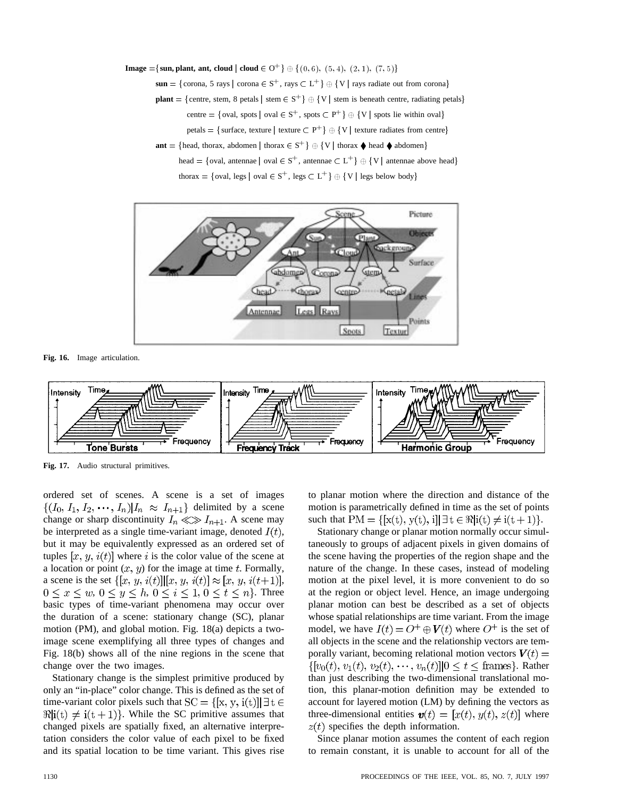**Image** = {**sun, plant, ant, cloud** | **cloud**  $\in$  O<sup>+</sup>}  $\oplus$  {(0,6), (5,4), (2,1), (7,5)}

**sun** = {corona, 5 rays | corona  $\in$  S<sup>+</sup>, rays  $\subset$  L<sup>+</sup>}  $\oplus$  {V | rays radiate out from corona}

- **plant** = {centre, stem, 8 petals | stem  $\in S^+$ }  $\oplus$  {V | stem is beneath centre, radiating petals}
	- centre = {oval, spots | oval  $\in S^+$ , spots  $\subset P^+\}$   $\oplus$  {V | spots lie within oval}
	- petals = {surface, texture | texture  $\subset P^+\}$   $\oplus$  {V | texture radiates from centre}
- **ant** = {head, thorax, abdomen | thorax  $\in S^+$ }  $\oplus$  {V | thorax  $\blacklozenge$  head  $\blacklozenge$  abdomen}
	- head = {oval, antennae | oval  $\in S^+$ , antennae  $\subset L^+\} \oplus \{V$  | antennae above head}

thorax = {oval, legs | oval  $\in S^+$ , legs  $\subset L^+\}$   $\oplus$  {V | legs below body}



**Fig. 16.** Image articulation.



**Fig. 17.** Audio structural primitives.

ordered set of scenes. A scene is a set of images  $\{(I_0, I_1, I_2, \cdots, I_n)|I_n \approx I_{n+1}\}\$  delimited by a scene change or sharp discontinuity  $I_n \ll \gg I_{n+1}$ . A scene may be interpreted as a single time-variant image, denoted  $I(t)$ , but it may be equivalently expressed as an ordered set of tuples  $[x, y, i(t)]$  where i is the color value of the scene at a location or point  $(x, y)$  for the image at time  $t$ . Formally, a scene is the set  $\{[x, y, i(t)][x, y, i(t)] \approx [x, y, i(t+1)],$  $0 \le x \le w, \ 0 \le y \le h, \ 0 \le i \le 1, \ 0 \le t \le n$ . Three basic types of time-variant phenomena may occur over the duration of a scene: stationary change (SC), planar motion (PM), and global motion. Fig. 18(a) depicts a twoimage scene exemplifying all three types of changes and Fig. 18(b) shows all of the nine regions in the scene that change over the two images.

Stationary change is the simplest primitive produced by only an "in-place" color change. This is defined as the set of time-variant color pixels such that  $SC = \{ [x, y, i(t)] | \exists t \in$  $\Re[i(t) \neq i(t+1)]$ . While the SC primitive assumes that changed pixels are spatially fixed, an alternative interpretation considers the color value of each pixel to be fixed and its spatial location to be time variant. This gives rise

to planar motion where the direction and distance of the motion is parametrically defined in time as the set of points such that  $PM = \{ [x(t), y(t), i] | \exists t \in \Re | i(t) \neq i(t+1) \}.$ 

Stationary change or planar motion normally occur simultaneously to groups of adjacent pixels in given domains of the scene having the properties of the region shape and the nature of the change. In these cases, instead of modeling motion at the pixel level, it is more convenient to do so at the region or object level. Hence, an image undergoing planar motion can best be described as a set of objects whose spatial relationships are time variant. From the image model, we have  $I(t) = O^+ \oplus V(t)$  where  $O^+$  is the set of all objects in the scene and the relationship vectors are temporally variant, becoming relational motion vectors  $V(t)$  =  $\{ [v_0(t), v_1(t), v_2(t), \dots, v_n(t)] | 0 \le t \le \text{frames} \}.$  Rather than just describing the two-dimensional translational motion, this planar-motion definition may be extended to account for layered motion (LM) by defining the vectors as three-dimensional entities  $\mathbf{v}(t) = [x(t), y(t), z(t)]$  where  $z(t)$  specifies the depth information.

Since planar motion assumes the content of each region to remain constant, it is unable to account for all of the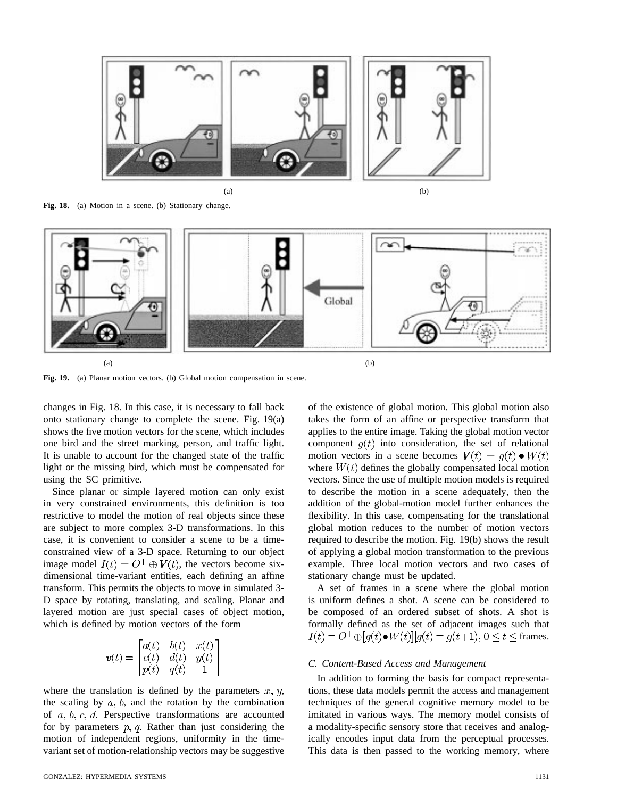

**Fig. 18.** (a) Motion in a scene. (b) Stationary change.



**Fig. 19.** (a) Planar motion vectors. (b) Global motion compensation in scene.

changes in Fig. 18. In this case, it is necessary to fall back onto stationary change to complete the scene. Fig. 19(a) shows the five motion vectors for the scene, which includes one bird and the street marking, person, and traffic light. It is unable to account for the changed state of the traffic light or the missing bird, which must be compensated for using the SC primitive.

Since planar or simple layered motion can only exist in very constrained environments, this definition is too restrictive to model the motion of real objects since these are subject to more complex 3-D transformations. In this case, it is convenient to consider a scene to be a timeconstrained view of a 3-D space. Returning to our object image model  $I(t) = O^+ \oplus V(t)$ , the vectors become sixdimensional time-variant entities, each defining an affine transform. This permits the objects to move in simulated 3- D space by rotating, translating, and scaling. Planar and layered motion are just special cases of object motion, which is defined by motion vectors of the form

$$
\mathbf{v}(t) = \begin{bmatrix} a(t) & b(t) & x(t) \\ c(t) & d(t) & y(t) \\ p(t) & q(t) & 1 \end{bmatrix}
$$

where the translation is defined by the parameters  $x, y$ , the scaling by  $a, b$ , and the rotation by the combination of  $a, b, c, d$ . Perspective transformations are accounted for by parameters  $p$ ,  $q$ . Rather than just considering the motion of independent regions, uniformity in the timevariant set of motion-relationship vectors may be suggestive takes the form of an affine or perspective transform that applies to the entire image. Taking the global motion vector component  $q(t)$  into consideration, the set of relational motion vectors in a scene becomes  $V(t) = g(t) \bullet W(t)$ where  $W(t)$  defines the globally compensated local motion vectors. Since the use of multiple motion models is required to describe the motion in a scene adequately, then the addition of the global-motion model further enhances the flexibility. In this case, compensating for the translational global motion reduces to the number of motion vectors required to describe the motion. Fig. 19(b) shows the result of applying a global motion transformation to the previous example. Three local motion vectors and two cases of stationary change must be updated.

of the existence of global motion. This global motion also

A set of frames in a scene where the global motion is uniform defines a shot. A scene can be considered to be composed of an ordered subset of shots. A shot is formally defined as the set of adjacent images such that  $I(t) = O^+ \oplus [g(t) \bullet W(t)]]g(t) = g(t+1), 0 \le t \le \text{frames}.$ 

#### *C. Content-Based Access and Management*

In addition to forming the basis for compact representations, these data models permit the access and management techniques of the general cognitive memory model to be imitated in various ways. The memory model consists of a modality-specific sensory store that receives and analogically encodes input data from the perceptual processes. This data is then passed to the working memory, where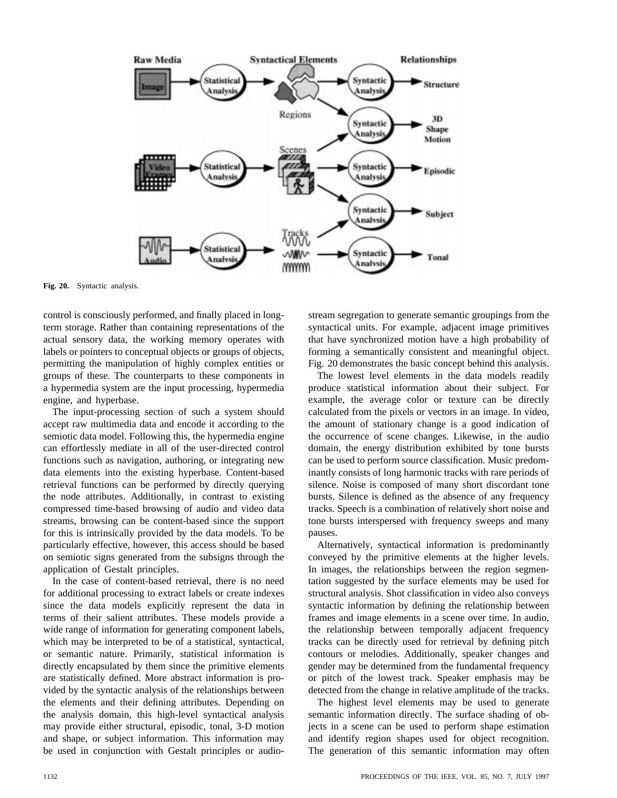

**Fig. 20.** Syntactic analysis.

control is consciously performed, and finally placed in longterm storage. Rather than containing representations of the actual sensory data, the working memory operates with labels or pointers to conceptual objects or groups of objects, permitting the manipulation of highly complex entities or groups of these. The counterparts to these components in a hypermedia system are the input processing, hypermedia engine, and hyperbase.

The input-processing section of such a system should accept raw multimedia data and encode it according to the semiotic data model. Following this, the hypermedia engine can effortlessly mediate in all of the user-directed control functions such as navigation, authoring, or integrating new data elements into the existing hyperbase. Content-based retrieval functions can be performed by directly querying the node attributes. Additionally, in contrast to existing compressed time-based browsing of audio and video data streams, browsing can be content-based since the support for this is intrinsically provided by the data models. To be particularly effective, however, this access should be based on semiotic signs generated from the subsigns through the application of Gestalt principles.

In the case of content-based retrieval, there is no need for additional processing to extract labels or create indexes since the data models explicitly represent the data in terms of their salient attributes. These models provide a wide range of information for generating component labels, which may be interpreted to be of a statistical, syntactical, or semantic nature. Primarily, statistical information is directly encapsulated by them since the primitive elements are statistically defined. More abstract information is provided by the syntactic analysis of the relationships between the elements and their defining attributes. Depending on the analysis domain, this high-level syntactical analysis may provide either structural, episodic, tonal, 3-D motion and shape, or subject information. This information may be used in conjunction with Gestalt principles or audiostream segregation to generate semantic groupings from the syntactical units. For example, adjacent image primitives that have synchronized motion have a high probability of forming a semantically consistent and meaningful object. Fig. 20 demonstrates the basic concept behind this analysis.

The lowest level elements in the data models readily produce statistical information about their subject. For example, the average color or texture can be directly calculated from the pixels or vectors in an image. In video, the amount of stationary change is a good indication of the occurrence of scene changes. Likewise, in the audio domain, the energy distribution exhibited by tone bursts can be used to perform source classification. Music predominantly consists of long harmonic tracks with rare periods of silence. Noise is composed of many short discordant tone bursts. Silence is defined as the absence of any frequency tracks. Speech is a combination of relatively short noise and tone bursts interspersed with frequency sweeps and many pauses.

Alternatively, syntactical information is predominantly conveyed by the primitive elements at the higher levels. In images, the relationships between the region segmentation suggested by the surface elements may be used for structural analysis. Shot classification in video also conveys syntactic information by defining the relationship between frames and image elements in a scene over time. In audio, the relationship between temporally adjacent frequency tracks can be directly used for retrieval by defining pitch contours or melodies. Additionally, speaker changes and gender may be determined from the fundamental frequency or pitch of the lowest track. Speaker emphasis may be detected from the change in relative amplitude of the tracks.

The highest level elements may be used to generate semantic information directly. The surface shading of objects in a scene can be used to perform shape estimation and identify region shapes used for object recognition. The generation of this semantic information may often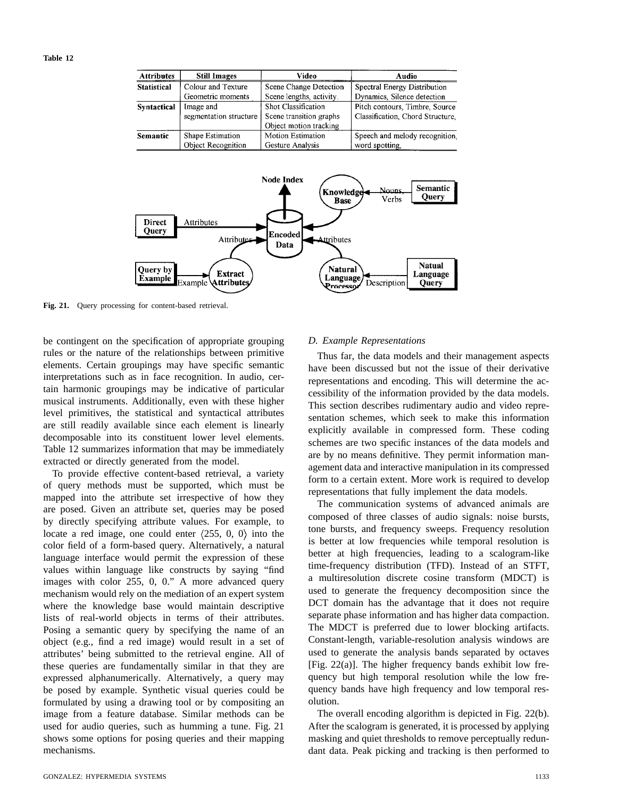| <b>Attributes</b> | <b>Still Images</b>       | Video                    | Audio                            |  |  |
|-------------------|---------------------------|--------------------------|----------------------------------|--|--|
| Statistical       | Colour and Texture        | Scene Change Detection   | Spectral Energy Distribution     |  |  |
|                   | Geometric moments         | Scene lengths, activity. | Dynamics, Silence detection      |  |  |
| Syntactical       | Image and                 | Shot Classification      | Pitch contours, Timbre, Source   |  |  |
|                   | segmentation structure    | Scene transition graphs  | Classification, Chord Structure, |  |  |
|                   |                           | Object motion tracking   |                                  |  |  |
| Semantic          | Shape Estimation          | Motion Estimation        | Speech and melody recognition.   |  |  |
|                   | <b>Object Recognition</b> | Gesture Analysis         | word spotting,                   |  |  |



**Fig. 21.** Query processing for content-based retrieval.

be contingent on the specification of appropriate grouping rules or the nature of the relationships between primitive elements. Certain groupings may have specific semantic interpretations such as in face recognition. In audio, certain harmonic groupings may be indicative of particular musical instruments. Additionally, even with these higher level primitives, the statistical and syntactical attributes are still readily available since each element is linearly decomposable into its constituent lower level elements. Table 12 summarizes information that may be immediately extracted or directly generated from the model.

To provide effective content-based retrieval, a variety of query methods must be supported, which must be mapped into the attribute set irrespective of how they are posed. Given an attribute set, queries may be posed by directly specifying attribute values. For example, to locate a red image, one could enter  $(255, 0, 0)$  into the color field of a form-based query. Alternatively, a natural language interface would permit the expression of these values within language like constructs by saying "find images with color 255, 0, 0." A more advanced query mechanism would rely on the mediation of an expert system where the knowledge base would maintain descriptive lists of real-world objects in terms of their attributes. Posing a semantic query by specifying the name of an object (e.g., find a red image) would result in a set of attributes' being submitted to the retrieval engine. All of these queries are fundamentally similar in that they are expressed alphanumerically. Alternatively, a query may be posed by example. Synthetic visual queries could be formulated by using a drawing tool or by compositing an image from a feature database. Similar methods can be used for audio queries, such as humming a tune. Fig. 21 shows some options for posing queries and their mapping mechanisms.

#### *D. Example Representations*

Thus far, the data models and their management aspects have been discussed but not the issue of their derivative representations and encoding. This will determine the accessibility of the information provided by the data models. This section describes rudimentary audio and video representation schemes, which seek to make this information explicitly available in compressed form. These coding schemes are two specific instances of the data models and are by no means definitive. They permit information management data and interactive manipulation in its compressed form to a certain extent. More work is required to develop representations that fully implement the data models.

The communication systems of advanced animals are composed of three classes of audio signals: noise bursts, tone bursts, and frequency sweeps. Frequency resolution is better at low frequencies while temporal resolution is better at high frequencies, leading to a scalogram-like time-frequency distribution (TFD). Instead of an STFT, a multiresolution discrete cosine transform (MDCT) is used to generate the frequency decomposition since the DCT domain has the advantage that it does not require separate phase information and has higher data compaction. The MDCT is preferred due to lower blocking artifacts. Constant-length, variable-resolution analysis windows are used to generate the analysis bands separated by octaves [Fig. 22(a)]. The higher frequency bands exhibit low frequency but high temporal resolution while the low frequency bands have high frequency and low temporal resolution.

The overall encoding algorithm is depicted in Fig. 22(b). After the scalogram is generated, it is processed by applying masking and quiet thresholds to remove perceptually redundant data. Peak picking and tracking is then performed to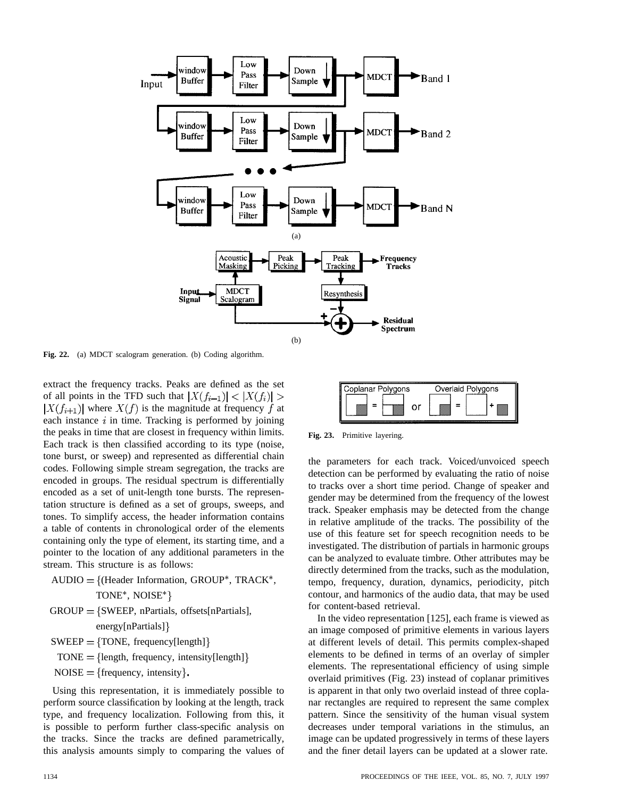

**Fig. 22.** (a) MDCT scalogram generation. (b) Coding algorithm.

extract the frequency tracks. Peaks are defined as the set of all points in the TFD such that  $|X(f_{i-1})| < |X(f_i)| >$  $|X(f_{i+1})|$  where  $X(f)$  is the magnitude at frequency f at each instance  $i$  in time. Tracking is performed by joining the peaks in time that are closest in frequency within limits. Each track is then classified according to its type (noise, tone burst, or sweep) and represented as differential chain codes. Following simple stream segregation, the tracks are encoded in groups. The residual spectrum is differentially encoded as a set of unit-length tone bursts. The representation structure is defined as a set of groups, sweeps, and tones. To simplify access, the header information contains a table of contents in chronological order of the elements containing only the type of element, its starting time, and a pointer to the location of any additional parameters in the stream. This structure is as follows:

 $AUDIO = \{ (Header Information, GROUP^*, TRACK^*,$  $TONE^*$ ,  $NOISE^*$ }  $GROUP = \{SWEEP, nPartials, offsets[nPartials],$ energy[nPartials]}  $SWEEP = \{TONE, frequency[length]\}$  $TONE = \{length, frequency, intensity[length]\}$  $NOISE = {frequency, intensity}.$ 

Using this representation, it is immediately possible to perform source classification by looking at the length, track type, and frequency localization. Following from this, it is possible to perform further class-specific analysis on the tracks. Since the tracks are defined parametrically, this analysis amounts simply to comparing the values of

| Coplanar Polygons |  | Overlaid Polygons |  |  |  |  |  |
|-------------------|--|-------------------|--|--|--|--|--|
|                   |  |                   |  |  |  |  |  |

**Fig. 23.** Primitive layering.

the parameters for each track. Voiced/unvoiced speech detection can be performed by evaluating the ratio of noise to tracks over a short time period. Change of speaker and gender may be determined from the frequency of the lowest track. Speaker emphasis may be detected from the change in relative amplitude of the tracks. The possibility of the use of this feature set for speech recognition needs to be investigated. The distribution of partials in harmonic groups can be analyzed to evaluate timbre. Other attributes may be directly determined from the tracks, such as the modulation, tempo, frequency, duration, dynamics, periodicity, pitch contour, and harmonics of the audio data, that may be used for content-based retrieval.

In the video representation [125], each frame is viewed as an image composed of primitive elements in various layers at different levels of detail. This permits complex-shaped elements to be defined in terms of an overlay of simpler elements. The representational efficiency of using simple overlaid primitives (Fig. 23) instead of coplanar primitives is apparent in that only two overlaid instead of three coplanar rectangles are required to represent the same complex pattern. Since the sensitivity of the human visual system decreases under temporal variations in the stimulus, an image can be updated progressively in terms of these layers and the finer detail layers can be updated at a slower rate.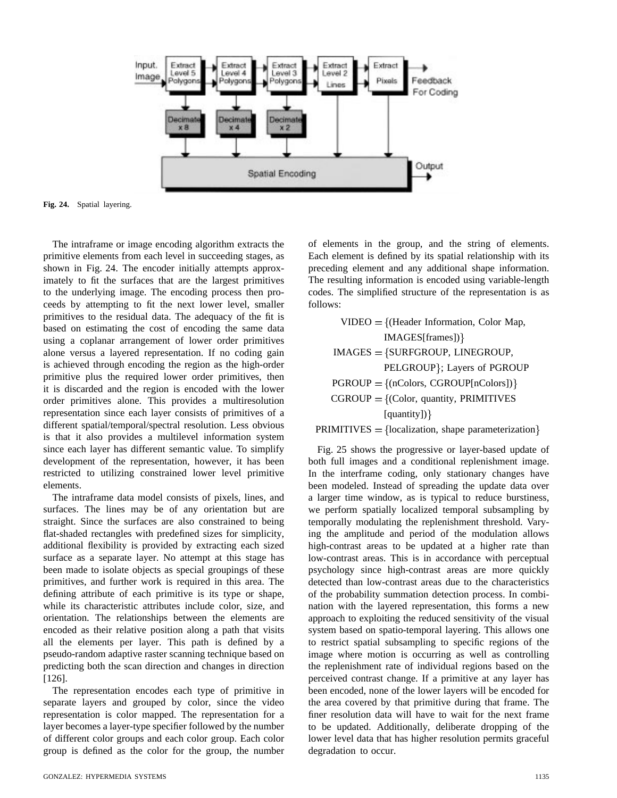

**Fig. 24.** Spatial layering.

The intraframe or image encoding algorithm extracts the primitive elements from each level in succeeding stages, as shown in Fig. 24. The encoder initially attempts approximately to fit the surfaces that are the largest primitives to the underlying image. The encoding process then proceeds by attempting to fit the next lower level, smaller primitives to the residual data. The adequacy of the fit is based on estimating the cost of encoding the same data using a coplanar arrangement of lower order primitives alone versus a layered representation. If no coding gain is achieved through encoding the region as the high-order primitive plus the required lower order primitives, then it is discarded and the region is encoded with the lower order primitives alone. This provides a multiresolution representation since each layer consists of primitives of a different spatial/temporal/spectral resolution. Less obvious is that it also provides a multilevel information system since each layer has different semantic value. To simplify development of the representation, however, it has been restricted to utilizing constrained lower level primitive elements.

The intraframe data model consists of pixels, lines, and surfaces. The lines may be of any orientation but are straight. Since the surfaces are also constrained to being flat-shaded rectangles with predefined sizes for simplicity, additional flexibility is provided by extracting each sized surface as a separate layer. No attempt at this stage has been made to isolate objects as special groupings of these primitives, and further work is required in this area. The defining attribute of each primitive is its type or shape, while its characteristic attributes include color, size, and orientation. The relationships between the elements are encoded as their relative position along a path that visits all the elements per layer. This path is defined by a pseudo-random adaptive raster scanning technique based on predicting both the scan direction and changes in direction [126].

The representation encodes each type of primitive in separate layers and grouped by color, since the video representation is color mapped. The representation for a layer becomes a layer-type specifier followed by the number of different color groups and each color group. Each color group is defined as the color for the group, the number of elements in the group, and the string of elements. Each element is defined by its spatial relationship with its preceding element and any additional shape information. The resulting information is encoded using variable-length codes. The simplified structure of the representation is as follows:

\n
$$
VIDEO = \{(Header Information, Color Map, \n IMAGES[frames])\}
$$
\n

\n\n
$$
IMAGES = \{SURFGROUP, LINEGROUP, \n PELGROUP, LINEGROUP, \n PELGROUP}; \n Layers of PGROUP, \n PGROUP = \{(nColor, CGROUP[nColors])\}
$$
\n

\n\n
$$
CGROUP = \{(Color, quantity, PRIMITIVES, \n [quantity])\}
$$
\n

\n\n
$$
PMITIVES = [localization, shape, generatedization]
$$
\n

 $PRIMITIVES = \{localization, shape parameterization\}$ 

Fig. 25 shows the progressive or layer-based update of both full images and a conditional replenishment image. In the interframe coding, only stationary changes have been modeled. Instead of spreading the update data over a larger time window, as is typical to reduce burstiness, we perform spatially localized temporal subsampling by temporally modulating the replenishment threshold. Varying the amplitude and period of the modulation allows high-contrast areas to be updated at a higher rate than low-contrast areas. This is in accordance with perceptual psychology since high-contrast areas are more quickly detected than low-contrast areas due to the characteristics of the probability summation detection process. In combination with the layered representation, this forms a new approach to exploiting the reduced sensitivity of the visual system based on spatio-temporal layering. This allows one to restrict spatial subsampling to specific regions of the image where motion is occurring as well as controlling the replenishment rate of individual regions based on the perceived contrast change. If a primitive at any layer has been encoded, none of the lower layers will be encoded for the area covered by that primitive during that frame. The finer resolution data will have to wait for the next frame to be updated. Additionally, deliberate dropping of the lower level data that has higher resolution permits graceful degradation to occur.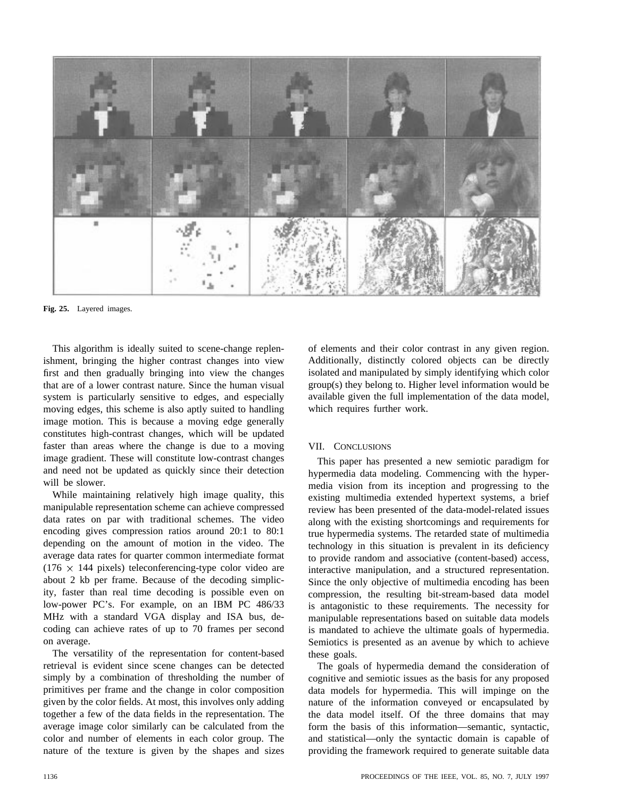

**Fig. 25.** Layered images.

This algorithm is ideally suited to scene-change replenishment, bringing the higher contrast changes into view first and then gradually bringing into view the changes that are of a lower contrast nature. Since the human visual system is particularly sensitive to edges, and especially moving edges, this scheme is also aptly suited to handling image motion. This is because a moving edge generally constitutes high-contrast changes, which will be updated faster than areas where the change is due to a moving image gradient. These will constitute low-contrast changes and need not be updated as quickly since their detection will be slower.

While maintaining relatively high image quality, this manipulable representation scheme can achieve compressed data rates on par with traditional schemes. The video encoding gives compression ratios around 20:1 to 80:1 depending on the amount of motion in the video. The average data rates for quarter common intermediate format  $(176 \times 144 \text{ pixels})$  teleconferencing-type color video are about 2 kb per frame. Because of the decoding simplicity, faster than real time decoding is possible even on low-power PC's. For example, on an IBM PC 486/33 MHz with a standard VGA display and ISA bus, decoding can achieve rates of up to 70 frames per second on average.

The versatility of the representation for content-based retrieval is evident since scene changes can be detected simply by a combination of thresholding the number of primitives per frame and the change in color composition given by the color fields. At most, this involves only adding together a few of the data fields in the representation. The average image color similarly can be calculated from the color and number of elements in each color group. The nature of the texture is given by the shapes and sizes of elements and their color contrast in any given region. Additionally, distinctly colored objects can be directly isolated and manipulated by simply identifying which color group(s) they belong to. Higher level information would be available given the full implementation of the data model, which requires further work.

# VII. CONCLUSIONS

This paper has presented a new semiotic paradigm for hypermedia data modeling. Commencing with the hypermedia vision from its inception and progressing to the existing multimedia extended hypertext systems, a brief review has been presented of the data-model-related issues along with the existing shortcomings and requirements for true hypermedia systems. The retarded state of multimedia technology in this situation is prevalent in its deficiency to provide random and associative (content-based) access, interactive manipulation, and a structured representation. Since the only objective of multimedia encoding has been compression, the resulting bit-stream-based data model is antagonistic to these requirements. The necessity for manipulable representations based on suitable data models is mandated to achieve the ultimate goals of hypermedia. Semiotics is presented as an avenue by which to achieve these goals.

The goals of hypermedia demand the consideration of cognitive and semiotic issues as the basis for any proposed data models for hypermedia. This will impinge on the nature of the information conveyed or encapsulated by the data model itself. Of the three domains that may form the basis of this information—semantic, syntactic, and statistical—only the syntactic domain is capable of providing the framework required to generate suitable data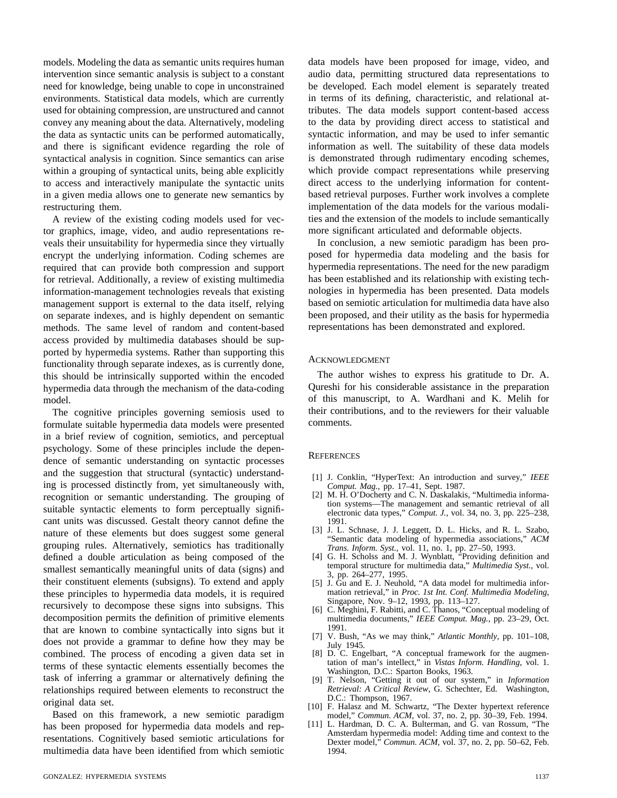models. Modeling the data as semantic units requires human intervention since semantic analysis is subject to a constant need for knowledge, being unable to cope in unconstrained environments. Statistical data models, which are currently used for obtaining compression, are unstructured and cannot convey any meaning about the data. Alternatively, modeling the data as syntactic units can be performed automatically, and there is significant evidence regarding the role of syntactical analysis in cognition. Since semantics can arise within a grouping of syntactical units, being able explicitly to access and interactively manipulate the syntactic units in a given media allows one to generate new semantics by restructuring them.

A review of the existing coding models used for vector graphics, image, video, and audio representations reveals their unsuitability for hypermedia since they virtually encrypt the underlying information. Coding schemes are required that can provide both compression and support for retrieval. Additionally, a review of existing multimedia information-management technologies reveals that existing management support is external to the data itself, relying on separate indexes, and is highly dependent on semantic methods. The same level of random and content-based access provided by multimedia databases should be supported by hypermedia systems. Rather than supporting this functionality through separate indexes, as is currently done, this should be intrinsically supported within the encoded hypermedia data through the mechanism of the data-coding model.

The cognitive principles governing semiosis used to formulate suitable hypermedia data models were presented in a brief review of cognition, semiotics, and perceptual psychology. Some of these principles include the dependence of semantic understanding on syntactic processes and the suggestion that structural (syntactic) understanding is processed distinctly from, yet simultaneously with, recognition or semantic understanding. The grouping of suitable syntactic elements to form perceptually significant units was discussed. Gestalt theory cannot define the nature of these elements but does suggest some general grouping rules. Alternatively, semiotics has traditionally defined a double articulation as being composed of the smallest semantically meaningful units of data (signs) and their constituent elements (subsigns). To extend and apply these principles to hypermedia data models, it is required recursively to decompose these signs into subsigns. This decomposition permits the definition of primitive elements that are known to combine syntactically into signs but it does not provide a grammar to define how they may be combined. The process of encoding a given data set in terms of these syntactic elements essentially becomes the task of inferring a grammar or alternatively defining the relationships required between elements to reconstruct the original data set.

Based on this framework, a new semiotic paradigm has been proposed for hypermedia data models and representations. Cognitively based semiotic articulations for multimedia data have been identified from which semiotic data models have been proposed for image, video, and audio data, permitting structured data representations to be developed. Each model element is separately treated in terms of its defining, characteristic, and relational attributes. The data models support content-based access to the data by providing direct access to statistical and syntactic information, and may be used to infer semantic information as well. The suitability of these data models is demonstrated through rudimentary encoding schemes, which provide compact representations while preserving direct access to the underlying information for contentbased retrieval purposes. Further work involves a complete implementation of the data models for the various modalities and the extension of the models to include semantically more significant articulated and deformable objects.

In conclusion, a new semiotic paradigm has been proposed for hypermedia data modeling and the basis for hypermedia representations. The need for the new paradigm has been established and its relationship with existing technologies in hypermedia has been presented. Data models based on semiotic articulation for multimedia data have also been proposed, and their utility as the basis for hypermedia representations has been demonstrated and explored.

#### ACKNOWLEDGMENT

The author wishes to express his gratitude to Dr. A. Qureshi for his considerable assistance in the preparation of this manuscript, to A. Wardhani and K. Melih for their contributions, and to the reviewers for their valuable comments.

#### **REFERENCES**

- [1] J. Conklin, "HyperText: An introduction and survey," *IEEE Comput. Mag.,* pp. 17–41, Sept. 1987.
- [2] M. H. O'Docherty and C. N. Daskalakis, "Multimedia information systems—The management and semantic retrieval of all electronic data types," *Comput. J.,* vol. 34, no. 3, pp. 225–238, 1991.
- [3] J. L. Schnase, J. J. Leggett, D. L. Hicks, and R. L. Szabo, "Semantic data modeling of hypermedia associations," *ACM Trans. Inform. Syst.,* vol. 11, no. 1, pp. 27–50, 1993.
- [4] G. H. Scholss and M. J. Wynblatt, "Providing definition and temporal structure for multimedia data," *Multimedia Syst.,* vol. 3, pp. 264–277, 1995.
- [5] J. Gu and E. J. Neuhold, "A data model for multimedia information retrieval," in *Proc. 1st Int. Conf. Multimedia Modeling,* Singapore, Nov. 9–12, 1993, pp. 113–127.
- [6] C. Meghini, F. Rabitti, and C. Thanos, "Conceptual modeling of multimedia documents," *IEEE Comput. Mag.,* pp. 23–29, Oct. 1991.
- [7] V. Bush, "As we may think," *Atlantic Monthly,* pp. 101–108, July 1945.
- [8] D. C. Engelbart, "A conceptual framework for the augmentation of man's intellect," in *Vistas Inform. Handling,* vol. 1. Washington, D.C.: Sparton Books, 1963.
- [9] T. Nelson, "Getting it out of our system," in *Information Retrieval: A Critical Review,* G. Schechter, Ed. Washington, D.C.: Thompson, 1967.
- [10] F. Halasz and M. Schwartz, "The Dexter hypertext reference model," *Commun. ACM,* vol. 37, no. 2, pp. 30–39, Feb. 1994.
- [11] L. Hardman, D. C. A. Bulterman, and G. van Rossum, "The Amsterdam hypermedia model: Adding time and context to the Dexter model," *Commun. ACM,* vol. 37, no. 2, pp. 50–62, Feb. 1994.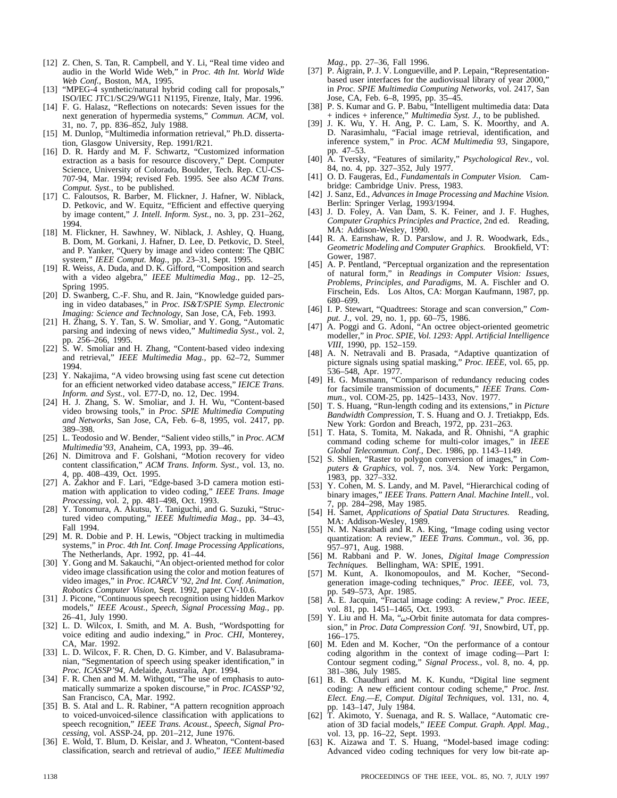- [12] Z. Chen, S. Tan, R. Campbell, and Y. Li, "Real time video and audio in the World Wide Web," in *Proc. 4th Int. World Wide Web Conf.,* Boston, MA, 1995.
- [13] "MPEG-4 synthetic/natural hybrid coding call for proposals," ISO/IEC JTC1/SC29/WG11 N1195, Firenze, Italy, Mar. 1996.
- [14] F. G. Halasz, "Reflections on notecards: Seven issues for the next generation of hypermedia systems," *Commun. ACM,* vol. 31, no. 7, pp. 836–852, July 1988.
- [15] M. Dunlop, "Multimedia information retrieval," Ph.D. dissertation, Glasgow University, Rep. 1991/R21.
- [16] D. R. Hardy and M. F. Schwartz, "Customized information extraction as a basis for resource discovery," Dept. Computer Science, University of Colorado, Boulder, Tech. Rep. CU-CS-707-94, Mar. 1994; revised Feb. 1995. See also *ACM Trans. Comput. Syst.,* to be published.
- [17] C. Faloutsos, R. Barber, M. Flickner, J. Hafner, W. Niblack, D. Petkovic, and W. Equitz, "Efficient and effective querying by image content," *J. Intell. Inform. Syst.,* no. 3, pp. 231–262, 1994.
- [18] M. Flickner, H. Sawhney, W. Niblack, J. Ashley, Q. Huang, B. Dom, M. Gorkani, J. Hafner, D. Lee, D. Petkovic, D. Steel, and P. Yanker, "Query by image and video content: The QBIC system," *IEEE Comput. Mag.,* pp. 23–31, Sept. 1995.
- [19] R. Weiss, A. Duda, and D. K. Gifford, "Composition and search with a video algebra," *IEEE Multimedia Mag.,* pp. 12–25, Spring 1995.
- [20] D. Swanberg, C.-F. Shu, and R. Jain, "Knowledge guided parsing in video databases," in *Proc. IS&T/SPIE Symp. Electronic Imaging: Science and Technology,* San Jose, CA, Feb. 1993.
- [21] H. Zhang, S. Y. Tan, S. W. Smoliar, and Y. Gong, "Automatic parsing and indexing of news video," *Multimedia Syst.,* vol. 2, pp. 256–266, 1995.
- [22] S. W. Smoliar and H. Zhang, "Content-based video indexing and retrieval," *IEEE Multimedia Mag.,* pp. 62–72, Summer 1994.
- [23] Y. Nakajima, "A video browsing using fast scene cut detection for an efficient networked video database access," *IEICE Trans. Inform. and Syst.,* vol. E77-D, no. 12, Dec. 1994.
- [24] H. J. Zhang, S. W. Smoliar, and J. H. Wu, "Content-based video browsing tools," in *Proc. SPIE Multimedia Computing and Networks,* San Jose, CA, Feb. 6–8, 1995, vol. 2417, pp. 389–398.
- [25] L. Teodosio and W. Bender, "Salient video stills," in *Proc. ACM Multimedia'93,* Anaheim, CA, 1993, pp. 39–46.
- [26] N. Dimitrova and F. Golshani, "Motion recovery for video content classification," *ACM Trans. Inform. Syst.,* vol. 13, no. 4, pp. 408–439, Oct. 1995.
- [27] A. Zakhor and F. Lari, "Edge-based 3-D camera motion estimation with application to video coding," *IEEE Trans. Image Processing, vol. 2, pp. 481-498, Oct. 1993.*
- [28] Y. Tonomura, A. Akutsu, Y. Taniguchi, and G. Suzuki, "Structured video computing," *IEEE Multimedia Mag.,* pp. 34–43, Fall 1994.
- [29] M. R. Dobie and P. H. Lewis, "Object tracking in multimedia systems," in *Proc. 4th Int. Conf. Image Processing Applications,* The Netherlands, Apr. 1992, pp. 41–44.
- [30] Y. Gong and M. Sakauchi, "An object-oriented method for color video image classification using the color and motion features of video images," in *Proc. ICARCV '92, 2nd Int. Conf. Animation, Robotics Computer Vision,* Sept. 1992, paper CV-10.6.
- [31] J. Picone, "Continuous speech recognition using hidden Markov models," *IEEE Acoust., Speech, Signal Processing Mag.,* pp. 26–41, July 1990.
- [32] L. D. Wilcox, I. Smith, and M. A. Bush, "Wordspotting for voice editing and audio indexing," in *Proc. CHI,* Monterey, CA, Mar. 1992.
- [33] L. D. Wilcox, F. R. Chen, D. G. Kimber, and V. Balasubramanian, "Segmentation of speech using speaker identification," in *Proc. ICASSP'94,* Adelaide, Australia, Apr. 1994.
- [34] F. R. Chen and M. M. Withgott, "The use of emphasis to automatically summarize a spoken discourse," in *Proc. ICASSP'92,* San Francisco, CA, Mar. 1992.
- [35] B. S. Atal and L. R. Rabiner, "A pattern recognition approach to voiced-unvoiced-silence classification with applications to speech recognition," *IEEE Trans. Acoust., Speech, Signal Processing,* vol. ASSP-24, pp. 201–212, June 1976.
- [36] E. Wold, T. Blum, D. Keislar, and J. Wheaton, "Content-based classification, search and retrieval of audio," *IEEE Multimedia*

*Mag.,* pp. 27–36, Fall 1996.

- [37] P. Aigrain, P. J. V. Longueville, and P. Lepain, "Representationbased user interfaces for the audiovisual library of year 2000," in *Proc. SPIE Multimedia Computing Networks,* vol. 2417, San Jose, CA, Feb. 6–8, 1995, pp. 35–45.
- [38] P. S. Kumar and G. P. Babu, "Intelligent multimedia data: Data + indices + inference," *Multimedia Syst. J.,* to be published.
- [39] J. K. Wu, Y. H. Ang, P. C. Lam, S. K. Moorthy, and A. D. Narasimhalu, "Facial image retrieval, identification, and inference system," in *Proc. ACM Multimedia 93,* Singapore, pp. 47–53.
- [40] A. Tversky, "Features of similarity," *Psychological Rev.,* vol. 84, no. 4, pp. 327–352, July 1977.
- [41] O. D. Faugeras, Ed., *Fundamentals in Computer Vision.* Cambridge: Cambridge Univ. Press, 1983.
- [42] J. Sanz, Ed., *Advances in Image Processing and Machine Vision.* Berlin: Springer Verlag, 1993/1994.
- [43] J. D. Foley, A. Van Dam, S. K. Feiner, and J. F. Hughes, *Computer Graphics Principles and Practice,* 2nd ed. Reading, MA: Addison-Wesley, 1990.
- [44] R. A. Earnshaw, R. D. Parslow, and J. R. Woodwark, Eds., *Geometric Modeling and Computer Graphics.* Brookfield, VT: Gower, 1987.
- [45] A. P. Pentland, "Perceptual organization and the representation of natural form," in *Readings in Computer Vision: Issues, Problems, Principles, and Paradigms,* M. A. Fischler and O. Firschein, Eds. Los Altos, CA: Morgan Kaufmann, 1987, pp. 680–699.
- [46] I. P. Stewart, "Quadtrees: Storage and scan conversion," *Comput. J.,* vol. 29, no. 1, pp. 60–75, 1986.
- [47] A. Poggi and G. Adoni, "An octree object-oriented geometric modeller," in *Proc. SPIE, Vol. 1293: Appl. Artificial Intelligence VIII,* 1990, pp. 152–159.
- [48] A. N. Netravali and B. Prasada, "Adaptive quantization of picture signals using spatial masking," *Proc. IEEE,* vol. 65, pp. 536–548, Apr. 1977.
- [49] H. G. Musmann, "Comparison of redundancy reducing codes for facsimile transmission of documents," *IEEE Trans. Commun.,* vol. COM-25, pp. 1425–1433, Nov. 1977.
- [50] T. S. Huang, "Run-length coding and its extensions," in *Picture Bandwidth Compression,* T. S. Huang and O. J. Tretiakpp, Eds. New York: Gordon and Breach, 1972, pp. 231–263.
- [51] T. Hata, S. Tomita, M. Nakada, and R. Ohnishi, "A graphic command coding scheme for multi-color images," in *IEEE Global Telecommun. Conf.,* Dec. 1986, pp. 1143–1149.
- [52] S. Shlien, "Raster to polygon conversion of images," in *Computers & Graphics,* vol. 7, nos. 3/4. New York: Pergamon, 1983, pp. 327–332.
- [53] Y. Cohen, M. S. Landy, and M. Pavel, "Hierarchical coding of binary images," *IEEE Trans. Pattern Anal. Machine Intell.,* vol. 7, pp. 284–298, May 1985.
- [54] H. Samet, *Applications of Spatial Data Structures.* Reading, MA: Addison-Wesley, 1989.
- [55] N. M. Nasrabadi and R. A. King, "Image coding using vector quantization: A review," *IEEE Trans. Commun.,* vol. 36, pp. 957–971, Aug. 1988.
- [56] M. Rabbani and P. W. Jones, *Digital Image Compression Techniques.* Bellingham, WA: SPIE, 1991.
- [57] M. Kunt, A. Ikonomopoulos, and M. Kocher, "Secondgeneration image-coding techniques," *Proc. IEEE,* vol. 73, pp. 549–573, Apr. 1985.
- [58] A. E. Jacquin, "Fractal image coding: A review," *Proc. IEEE,* vol. 81, pp. 1451–1465, Oct. 1993.
- [59] Y. Liu and H. Ma, " $\omega$ -Orbit finite automata for data compression," in *Proc. Data Compression Conf. '91,* Snowbird, UT, pp. 166–175.
- [60] M. Eden and M. Kocher, "On the performance of a contour coding algorithm in the context of image coding—Part I: Contour segment coding," *Signal Process.,* vol. 8, no. 4, pp. 381–386, July 1985.
- [61] B. B. Chaudhuri and M. K. Kundu, "Digital line segment coding: A new efficient contour coding scheme," *Proc. Inst. Elect. Eng.—E, Comput. Digital Techniques,* vol. 131, no. 4, pp. 143–147, July 1984.
- [62] T. Akimoto, Y. Suenaga, and R. S. Wallace, "Automatic creation of 3D facial models," *IEEE Comput. Graph. Appl. Mag.,* vol. 13, pp. 16–22, Sept. 1993.
- [63] K. Aizawa and T. S. Huang, "Model-based image coding: Advanced video coding techniques for very low bit-rate ap-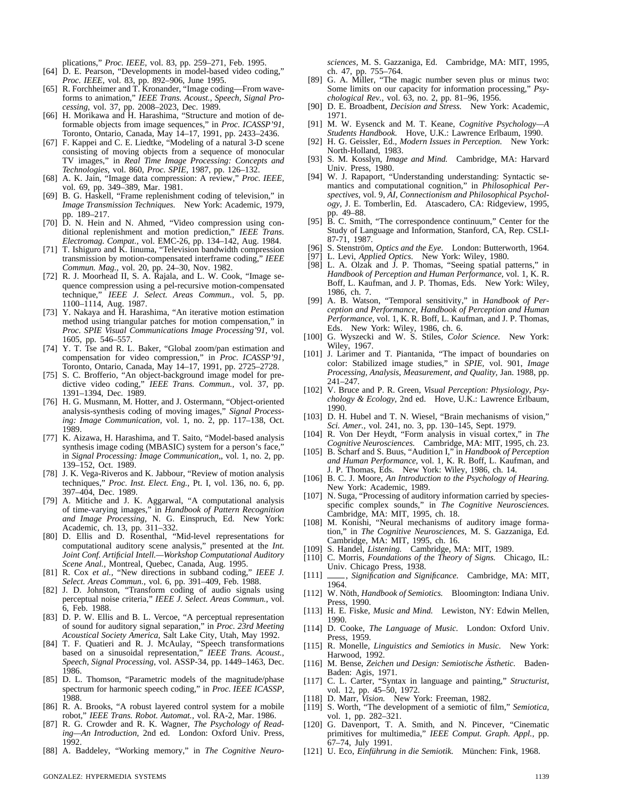plications," *Proc. IEEE,* vol. 83, pp. 259–271, Feb. 1995.

- [64] D. E. Pearson, "Developments in model-based video coding," *Proc. IEEE,* vol. 83, pp. 892–906, June 1995.
- [65] R. Forchheimer and T. Kronander, "Image coding—From waveforms to animation," *IEEE Trans. Acoust., Speech, Signal Processing,* vol. 37, pp. 2008–2023, Dec. 1989.
- [66] H. Morikawa and H. Harashima, "Structure and motion of deformable objects from image sequences," in *Proc. ICASSP'91,* Toronto, Ontario, Canada, May 14–17, 1991, pp. 2433–2436.
- [67] F. Kappei and C. E. Liedtke, "Modeling of a natural 3-D scene consisting of moving objects from a sequence of monocular TV images," in *Real Time Image Processing: Concepts and Technologies,* vol. 860, *Proc. SPIE,* 1987, pp. 126–132.
- [68] A. K. Jain, "Image data compression: A review," *Proc. IEEE,* vol. 69, pp. 349–389, Mar. 1981.
- [69] B. G. Haskell, "Frame replenishment coding of television," in *Image Transmission Techniques.* New York: Academic, 1979, pp. 189–217.
- [70] D. N. Hein and N. Ahmed, "Video compression using conditional replenishment and motion prediction," *IEEE Trans. Electromag. Compat.,* vol. EMC-26, pp. 134–142, Aug. 1984.
- [71] T. Ishiguro and K. Iinuma, "Television bandwidth compression transmission by motion-compensated interframe coding," *IEEE Commun. Mag.,* vol. 20, pp. 24–30, Nov. 1982.
- [72] R. J. Moorhead II, S. A. Rajala, and L. W. Cook, "Image sequence compression using a pel-recursive motion-compensated technique," *IEEE J. Select. Areas Commun.,* vol. 5, pp. 1100–1114, Aug. 1987.
- [73] Y. Nakaya and H. Harashima, "An iterative motion estimation method using triangular patches for motion compensation," in *Proc. SPIE Visual Communications Image Processing'91,* vol. 1605, pp. 546–557.
- [74] Y. T. Tse and R. L. Baker, "Global zoom/pan estimation and compensation for video compression," in *Proc. ICASSP'91,* Toronto, Ontario, Canada, May 14–17, 1991, pp. 2725–2728.
- [75] S. C. Brofferio, "An object-background image model for predictive video coding," *IEEE Trans. Commun.,* vol. 37, pp. 1391–1394, Dec. 1989.
- [76] H. G. Musmann, M. Hotter, and J. Ostermann, "Object-oriented analysis-synthesis coding of moving images," *Signal Processing: Image Communication,* vol. 1, no. 2, pp. 117–138, Oct. 1989.
- [77] K. Aizawa, H. Harashima, and T. Saito, "Model-based analysis synthesis image coding (MBASIC) system for a person's face," in *Signal Processing: Image Communication,*, vol. 1, no. 2, pp. 139–152, Oct. 1989.
- [78] J. K. Vega-Riveros and K. Jabbour, "Review of motion analysis techniques," *Proc. Inst. Elect. Eng.,* Pt. I, vol. 136, no. 6, pp. 397–404, Dec. 1989.
- [79] A. Mitiche and J. K. Aggarwal, "A computational analysis of time-varying images," in *Handbook of Pattern Recognition and Image Processing,* N. G. Einspruch, Ed. New York: Academic, ch. 13, pp. 311–332.
- [80] D. Ellis and D. Rosenthal, "Mid-level representations for computational auditory scene analysis," presented at the *Int. Joint Conf. Artificial Intell.—Workshop Computational Auditory Scene Anal.,* Montreal, Quebec, Canada, Aug. 1995.
- [81] R. Cox *et al.,* "New directions in subband coding," *IEEE J. Select. Areas Commun.,* vol. 6, pp. 391–409, Feb. 1988.
- [82] J. D. Johnston, "Transform coding of audio signals using perceptual noise criteria," *IEEE J. Select. Areas Commun.,* vol. 6, Feb. 1988.
- [83] D. P. W. Ellis and B. L. Vercoe, "A perceptual representation of sound for auditory signal separation," in *Proc. 23rd Meeting Acoustical Society America,* Salt Lake City, Utah, May 1992.
- [84] T. F. Quatieri and R. J. McAulay, "Speech transformations based on a sinusoidal representation," *IEEE Trans. Acoust., Speech, Signal Processing,* vol. ASSP-34, pp. 1449–1463, Dec. 1986.
- [85] D. L. Thomson, "Parametric models of the magnitude/phase spectrum for harmonic speech coding," in *Proc. IEEE ICASSP,* 1988.
- [86] R. A. Brooks, "A robust layered control system for a mobile robot," *IEEE Trans. Robot. Automat.,* vol. RA-2, Mar. 1986.
- [87] R. G. Crowder and R. K. Wagner, *The Psychology of Reading—An Introduction,* 2nd ed. London: Oxford Univ. Press, 1992.
- [88] A. Baddeley, "Working memory," in *The Cognitive Neuro-*

*sciences,* M. S. Gazzaniga, Ed. Cambridge, MA: MIT, 1995, ch. 47, pp. 755–764.

- [89] G. A. Miller, "The magic number seven plus or minus two: Some limits on our capacity for information processing," *Psychological Rev.,* vol. 63, no. 2, pp. 81–96, 1956.
- [90] D. E. Broadbent, *Decision and Stress.* New York: Academic, 1971.
- [91] M. W. Eysenck and M. T. Keane, *Cognitive Psychology—A Students Handbook.* Hove, U.K.: Lawrence Erlbaum, 1990.
- [92] H. G. Geissler, Ed., *Modern Issues in Perception.* New York: North-Holland, 1983.
- [93] S. M. Kosslyn, *Image and Mind.* Cambridge, MA: Harvard Univ. Press, 1980.
- [94] W. J. Rapaport, "Understanding understanding: Syntactic semantics and computational cognition," in *Philosophical Perspectives,* vol. 9, *AI, Connectionism and Philosophical Psychology,* J. E. Tomberlin, Ed. Atascadero, CA: Ridgeview, 1995, pp. 49–88.
- [95] B. C. Smith, "The correspondence continuum," Center for the Study of Language and Information, Stanford, CA, Rep. CSLI-87-71, 1987.
- [96] S. Stenström, Optics and the Eye. London: Butterworth, 1964.
- [97] L. Levi, *Applied Optics.* New York: Wiley, 1980.
- [98] L. A. Olzak and J. P. Thomas, "Seeing spatial patterns," in *Handbook of Perception and Human Performance,* vol. 1, K. R. Boff, L. Kaufman, and J. P. Thomas, Eds. New York: Wiley, 1986, ch. 7.
- [99] A. B. Watson, "Temporal sensitivity," in *Handbook of Perception and Performance, Handbook of Perception and Human Performance,* vol. 1, K. R. Boff, L. Kaufman, and J. P. Thomas, Eds. New York: Wiley, 1986, ch. 6.
- [100] G. Wyszecki and W. S. Stiles, *Color Science.* New York: Wiley, 1967.
- [101] J. Larimer and T. Piantanida, "The impact of boundaries on color: Stabilized image studies," in *SPIE,* vol. 901, *Image Processing, Analysis, Measurement, and Quality,* Jan. 1988, pp. 241–247.
- [102] V. Bruce and P. R. Green, *Visual Perception: Physiology, Psychology & Ecology,* 2nd ed. Hove, U.K.: Lawrence Erlbaum, 1990.
- [103] D. H. Hubel and T. N. Wiesel, "Brain mechanisms of vision," *Sci. Amer.,* vol. 241, no. 3, pp. 130–145, Sept. 1979.
- [104] R. Von Der Heydt, "Form analysis in visual cortex," in *The Cognitive Neurosciences.* Cambridge, MA: MIT, 1995, ch. 23.
- [105] B. Scharf and S. Buus, "Audition I," in *Handbook of Perception and Human Performance,* vol. 1, K. R. Boff, L. Kaufman, and J. P. Thomas, Eds. New York: Wiley, 1986, ch. 14.
- [106] B. C. J. Moore, *An Introduction to the Psychology of Hearing.* New York: Academic, 1989.
- [107] N. Suga, "Processing of auditory information carried by speciesspecific complex sounds," in *The Cognitive Neurosciences.* Cambridge, MA: MIT, 1995, ch. 18.
- [108] M. Konishi, "Neural mechanisms of auditory image formation," in *The Cognitive Neurosciences,* M. S. Gazzaniga, Ed. Cambridge, MA: MIT, 1995, ch. 16.
- [109] S. Handel, *Listening.* Cambridge, MA: MIT, 1989.
- [110] C. Morris, *Foundations of the Theory of Signs.* Chicago, IL: Univ. Chicago Press, 1938.
- [111] , *Signification and Significance.* Cambridge, MA: MIT, 1964.
- [112] W. Nöth, *Handbook of Semiotics*. Bloomington: Indiana Univ. Press, 1990.
- [113] H. E. Fiske, *Music and Mind.* Lewiston, NY: Edwin Mellen, 1990.
- [114] D. Cooke, *The Language of Music.* London: Oxford Univ. Press, 1959.
- [115] R. Monelle, *Linguistics and Semiotics in Music.* New York: Harwood, 1992.
- [116] M. Bense, Zeichen und Design: Semiotische Asthetic. Baden-Baden: Agis, 1971.
- [117] C. L. Carter, "Syntax in language and painting," *Structurist,* vol. 12, pp. 45–50, 1972.
- [118] D. Marr, *Vision.* New York: Freeman, 1982.
- [119] S. Worth, "The development of a semiotic of film," *Semiotica,* vol. 1, pp. 282–321.
- [120] G. Davenport, T. A. Smith, and N. Pincever, "Cinematic primitives for multimedia," *IEEE Comput. Graph. Appl.,* pp. 67–74, July 1991.
- [121] U. Eco, *Einführung in die Semiotik*. München: Fink, 1968.